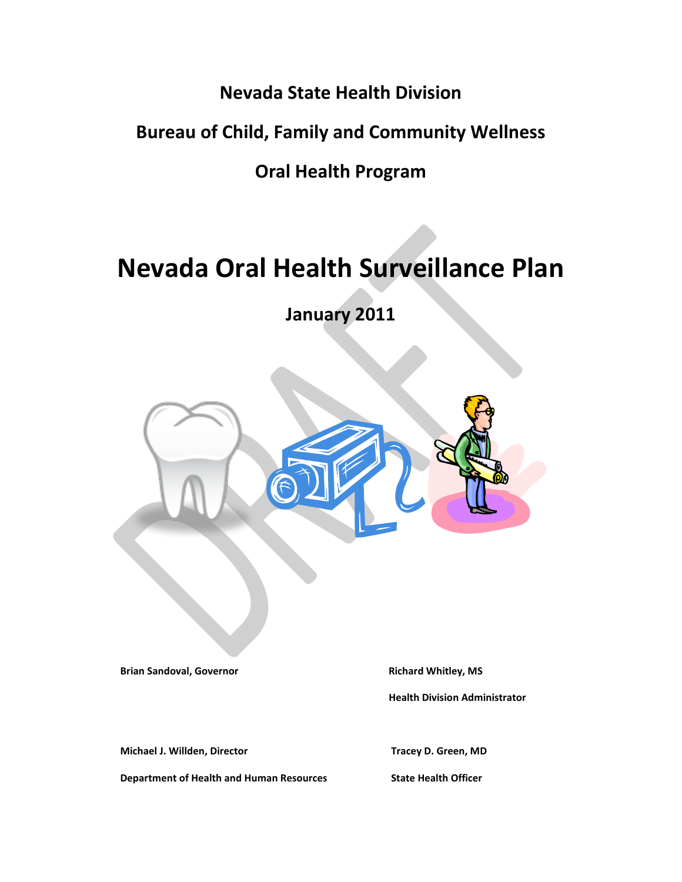# **Nevada State Health Division**

# **Bureau of Child, Family and Community Wellness**

# **Oral Health Program**

# **Nevada Oral Health Surveillance Plan**

**January 2011**



Brian Sandoval, Governor **Richard Whitley, MS** 

 **Health Division Administrator**

Michael J. Willden, Director **National Access of Access Property** Tracey D. Green, MD

**Department of Health and Human Resources State Health Officer**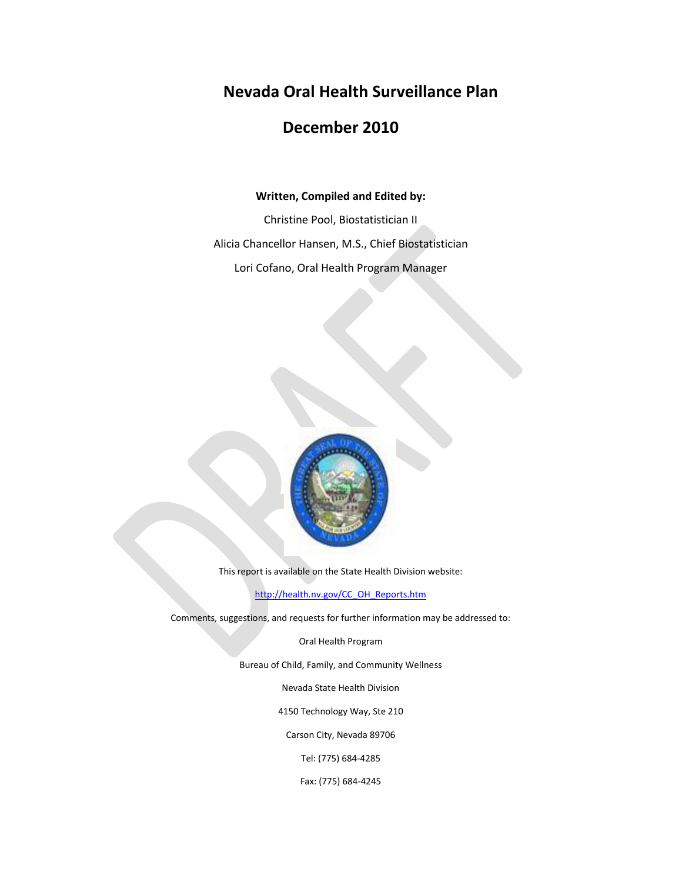**Nevada Oral Health Surveillance Plan**

### **December 2010**

#### **Written, Compiled and Edited by:**

Christine Pool, Biostatistician II Alicia Chancellor Hansen, M.S., Chief Biostatistician Lori Cofano, Oral Health Program Manager



This report is available on the State Health Division website:

[http://health.nv.gov/CC\\_OH\\_Reports.htm](http://health.nv.gov/CC_OH_Reports.htm)

Comments, suggestions, and requests for further information may be addressed to:

Oral Health Program

Bureau of Child, Family, and Community Wellness

Nevada State Health Division

4150 Technology Way, Ste 210

Carson City, Nevada 89706

Tel: (775) 684-4285

Fax: (775) 684-4245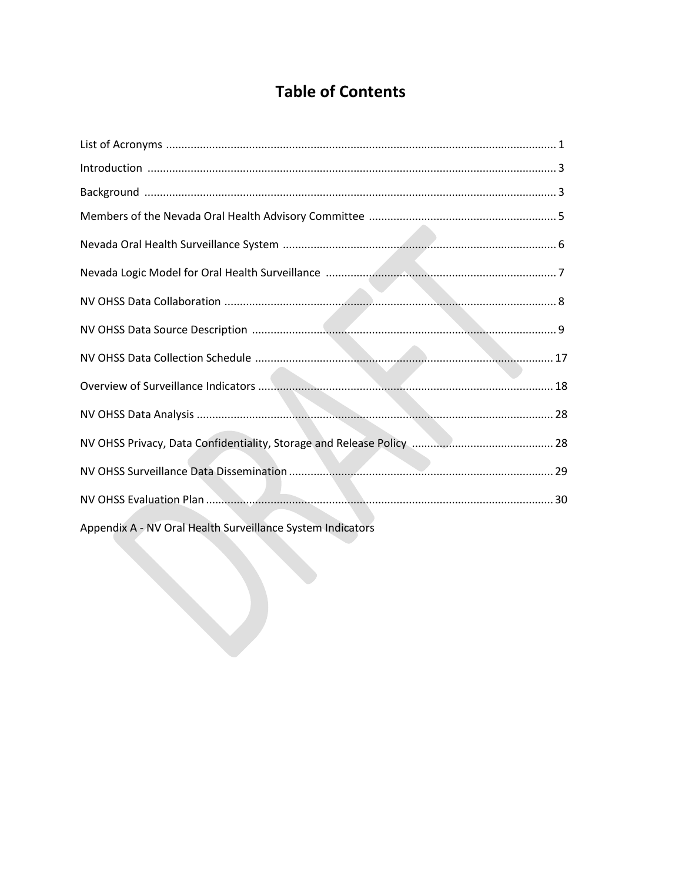# **Table of Contents**

| Appendix A - NV Oral Health Surveillance System Indicators |  |
|------------------------------------------------------------|--|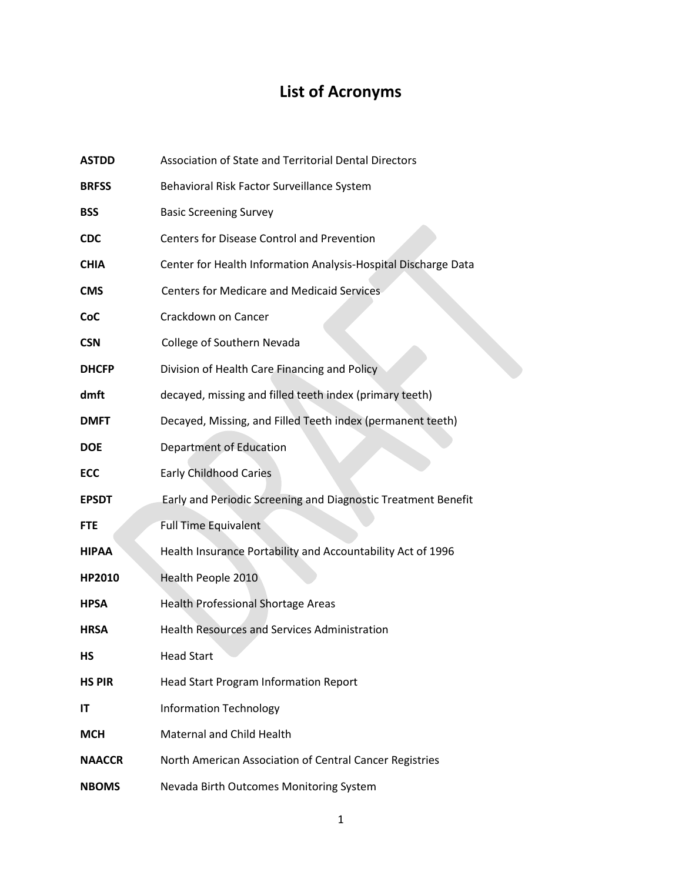# **List of Acronyms**

| <b>ASTDD</b>  | Association of State and Territorial Dental Directors          |  |  |  |  |  |  |  |
|---------------|----------------------------------------------------------------|--|--|--|--|--|--|--|
| <b>BRFSS</b>  | Behavioral Risk Factor Surveillance System                     |  |  |  |  |  |  |  |
| <b>BSS</b>    | <b>Basic Screening Survey</b>                                  |  |  |  |  |  |  |  |
| <b>CDC</b>    | <b>Centers for Disease Control and Prevention</b>              |  |  |  |  |  |  |  |
| <b>CHIA</b>   | Center for Health Information Analysis-Hospital Discharge Data |  |  |  |  |  |  |  |
| <b>CMS</b>    | <b>Centers for Medicare and Medicaid Services</b>              |  |  |  |  |  |  |  |
| CoC           | Crackdown on Cancer                                            |  |  |  |  |  |  |  |
| <b>CSN</b>    | College of Southern Nevada                                     |  |  |  |  |  |  |  |
| <b>DHCFP</b>  | Division of Health Care Financing and Policy                   |  |  |  |  |  |  |  |
| dmft          | decayed, missing and filled teeth index (primary teeth)        |  |  |  |  |  |  |  |
| <b>DMFT</b>   | Decayed, Missing, and Filled Teeth index (permanent teeth)     |  |  |  |  |  |  |  |
| <b>DOE</b>    | Department of Education                                        |  |  |  |  |  |  |  |
| ECC           | <b>Early Childhood Caries</b>                                  |  |  |  |  |  |  |  |
| <b>EPSDT</b>  | Early and Periodic Screening and Diagnostic Treatment Benefit  |  |  |  |  |  |  |  |
| <b>FTE</b>    | <b>Full Time Equivalent</b>                                    |  |  |  |  |  |  |  |
| <b>HIPAA</b>  | Health Insurance Portability and Accountability Act of 1996    |  |  |  |  |  |  |  |
| HP2010        | Health People 2010                                             |  |  |  |  |  |  |  |
| <b>HPSA</b>   | <b>Health Professional Shortage Areas</b>                      |  |  |  |  |  |  |  |
| <b>HRSA</b>   | <b>Health Resources and Services Administration</b>            |  |  |  |  |  |  |  |
| НS            | <b>Head Start</b>                                              |  |  |  |  |  |  |  |
| <b>HS PIR</b> | Head Start Program Information Report                          |  |  |  |  |  |  |  |
| IT            | <b>Information Technology</b>                                  |  |  |  |  |  |  |  |
| <b>MCH</b>    | <b>Maternal and Child Health</b>                               |  |  |  |  |  |  |  |
| <b>NAACCR</b> | North American Association of Central Cancer Registries        |  |  |  |  |  |  |  |
| <b>NBOMS</b>  | Nevada Birth Outcomes Monitoring System                        |  |  |  |  |  |  |  |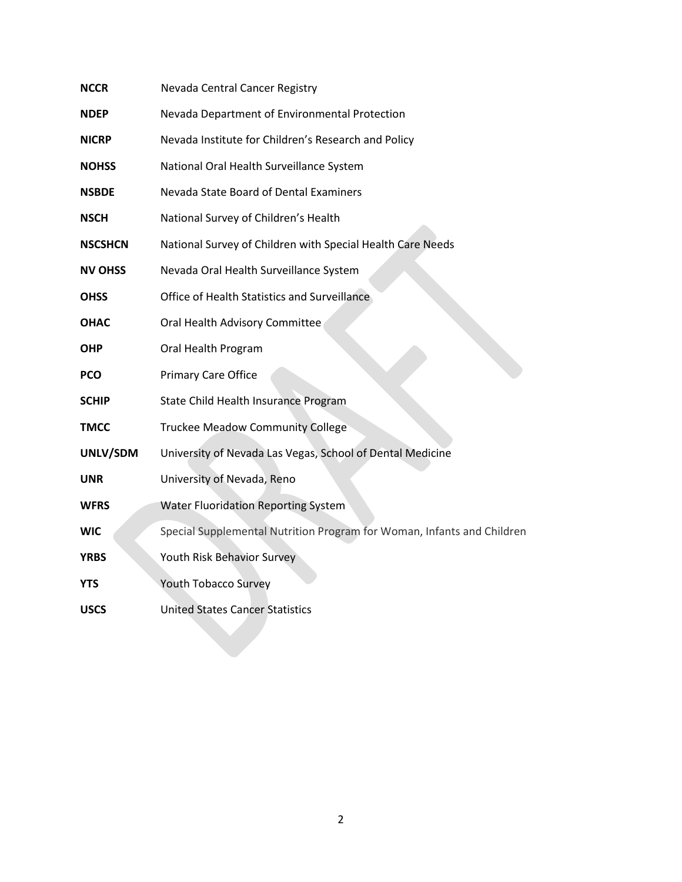| <b>NCCR</b>    | Nevada Central Cancer Registry                                         |
|----------------|------------------------------------------------------------------------|
| <b>NDEP</b>    | Nevada Department of Environmental Protection                          |
| <b>NICRP</b>   | Nevada Institute for Children's Research and Policy                    |
| <b>NOHSS</b>   | National Oral Health Surveillance System                               |
| <b>NSBDE</b>   | Nevada State Board of Dental Examiners                                 |
| <b>NSCH</b>    | National Survey of Children's Health                                   |
| <b>NSCSHCN</b> | National Survey of Children with Special Health Care Needs             |
| <b>NV OHSS</b> | Nevada Oral Health Surveillance System                                 |
| OHSS           | Office of Health Statistics and Surveillance                           |
| OHAC           | Oral Health Advisory Committee                                         |
| OHP            | Oral Health Program                                                    |
| <b>PCO</b>     | <b>Primary Care Office</b>                                             |
| <b>SCHIP</b>   | State Child Health Insurance Program                                   |
| <b>TMCC</b>    | <b>Truckee Meadow Community College</b>                                |
| UNLV/SDM       | University of Nevada Las Vegas, School of Dental Medicine              |
| <b>UNR</b>     | University of Nevada, Reno                                             |
| <b>WFRS</b>    | <b>Water Fluoridation Reporting System</b>                             |
| <b>WIC</b>     | Special Supplemental Nutrition Program for Woman, Infants and Children |
| <b>YRBS</b>    | Youth Risk Behavior Survey                                             |
| <b>YTS</b>     | <b>Youth Tobacco Survey</b>                                            |
| <b>USCS</b>    | <b>United States Cancer Statistics</b>                                 |
|                |                                                                        |
|                |                                                                        |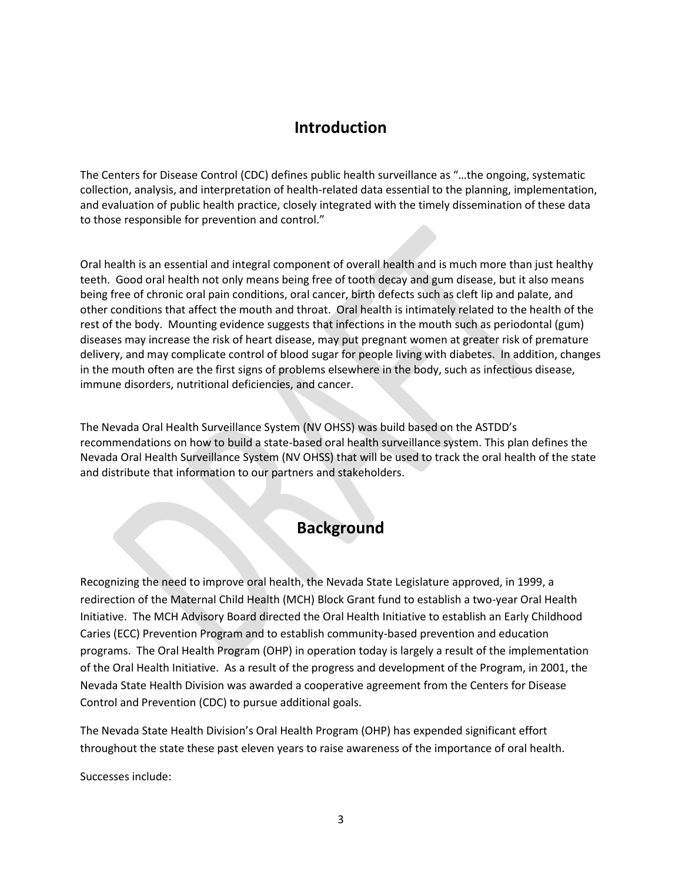### **Introduction**

The Centers for Disease Control (CDC) defines public health surveillance as "…the ongoing, systematic collection, analysis, and interpretation of health-related data essential to the planning, implementation, and evaluation of public health practice, closely integrated with the timely dissemination of these data to those responsible for prevention and control."

Oral health is an essential and integral component of overall health and is much more than just healthy teeth. Good oral health not only means being free of tooth decay and gum disease, but it also means being free of chronic oral pain conditions, oral cancer, birth defects such as cleft lip and palate, and other conditions that affect the mouth and throat. Oral health is intimately related to the health of the rest of the body. Mounting evidence suggests that infections in the mouth such as periodontal (gum) diseases may increase the risk of heart disease, may put pregnant women at greater risk of premature delivery, and may complicate control of blood sugar for people living with diabetes. In addition, changes in the mouth often are the first signs of problems elsewhere in the body, such as infectious disease, immune disorders, nutritional deficiencies, and cancer.

The Nevada Oral Health Surveillance System (NV OHSS) was build based on the ASTDD's recommendations on how to build a state-based oral health surveillance system. This plan defines the Nevada Oral Health Surveillance System (NV OHSS) that will be used to track the oral health of the state and distribute that information to our partners and stakeholders.

### **Background**

Recognizing the need to improve oral health, the Nevada State Legislature approved, in 1999, a redirection of the Maternal Child Health (MCH) Block Grant fund to establish a two-year Oral Health Initiative. The MCH Advisory Board directed the Oral Health Initiative to establish an Early Childhood Caries (ECC) Prevention Program and to establish community-based prevention and education programs. The Oral Health Program (OHP) in operation today is largely a result of the implementation of the Oral Health Initiative. As a result of the progress and development of the Program, in 2001, the Nevada State Health Division was awarded a cooperative agreement from the Centers for Disease Control and Prevention (CDC) to pursue additional goals.

The Nevada State Health Division's Oral Health Program (OHP) has expended significant effort throughout the state these past eleven years to raise awareness of the importance of oral health.

Successes include: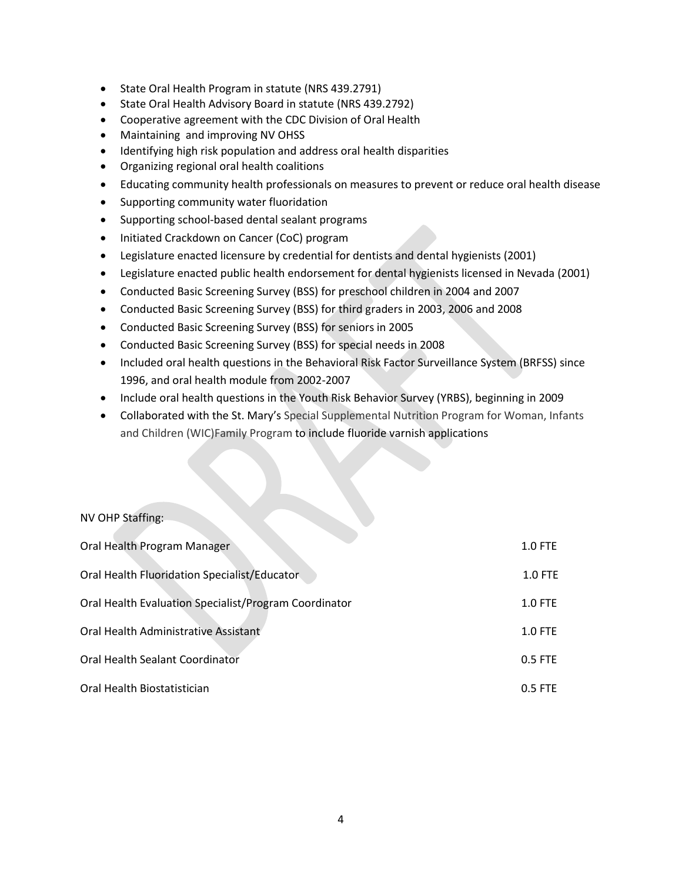- State Oral Health Program in statute (NRS 439.2791)
- State Oral Health Advisory Board in statute (NRS 439.2792)
- Cooperative agreement with the CDC Division of Oral Health
- Maintaining and improving NV OHSS
- Identifying high risk population and address oral health disparities
- Organizing regional oral health coalitions
- Educating community health professionals on measures to prevent or reduce oral health disease
- Supporting community water fluoridation
- Supporting school-based dental sealant programs
- Initiated Crackdown on Cancer (CoC) program
- Legislature enacted licensure by credential for dentists and dental hygienists (2001)
- Legislature enacted public health endorsement for dental hygienists licensed in Nevada (2001)
- Conducted Basic Screening Survey (BSS) for preschool children in 2004 and 2007
- Conducted Basic Screening Survey (BSS) for third graders in 2003, 2006 and 2008
- Conducted Basic Screening Survey (BSS) for seniors in 2005
- Conducted Basic Screening Survey (BSS) for special needs in 2008
- Included oral health questions in the Behavioral Risk Factor Surveillance System (BRFSS) since 1996, and oral health module from 2002-2007
- Include oral health questions in the Youth Risk Behavior Survey (YRBS), beginning in 2009
- Collaborated with the St. Mary's Special Supplemental Nutrition Program for Woman, Infants and Children (WIC)Family Program to include fluoride varnish applications

# NV OHP Staffing: **Oral Health Program Manager 1.0 FTE** 1.0 FTE Oral Health Fluoridation Specialist/Educator 1.0 FTE Oral Health Evaluation Specialist/Program Coordinator 1.0 FTE Oral Health Administrative Assistant 1.0 FTE Oral Health Sealant Coordinator 0.5 FTE Oral Health Biostatistician 0.5 FTE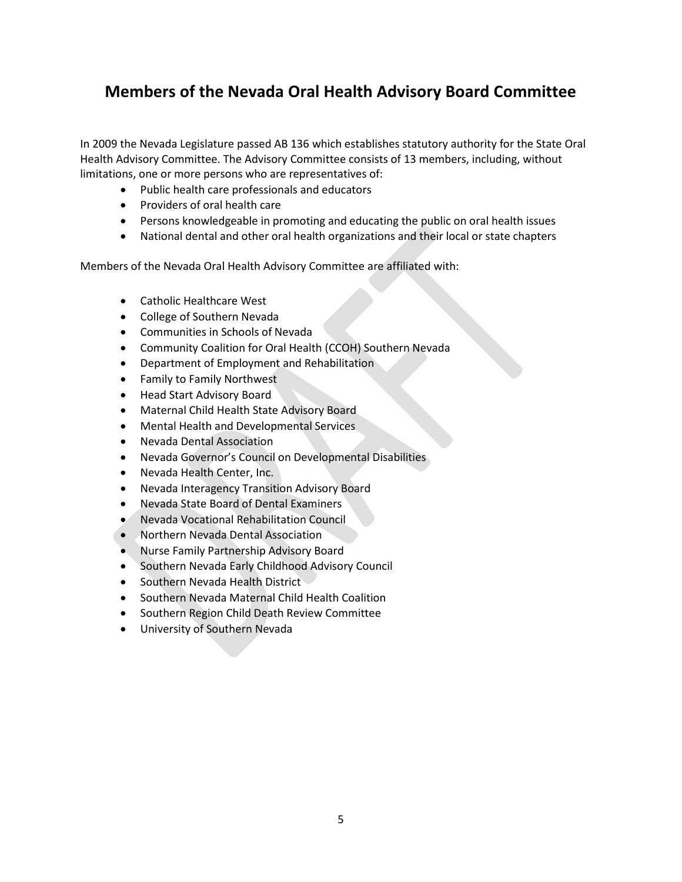### **Members of the Nevada Oral Health Advisory Board Committee**

In 2009 the Nevada Legislature passed AB 136 which establishes statutory authority for the State Oral Health Advisory Committee. The Advisory Committee consists of 13 members, including, without limitations, one or more persons who are representatives of:

- Public health care professionals and educators
- Providers of oral health care
- Persons knowledgeable in promoting and educating the public on oral health issues
- National dental and other oral health organizations and their local or state chapters

Members of the Nevada Oral Health Advisory Committee are affiliated with:

- Catholic Healthcare West
- College of Southern Nevada
- Communities in Schools of Nevada
- Community Coalition for Oral Health (CCOH) Southern Nevada
- Department of Employment and Rehabilitation
- Family to Family Northwest
- Head Start Advisory Board
- Maternal Child Health State Advisory Board
- Mental Health and Developmental Services
- Nevada Dental Association
- Nevada Governor's Council on Developmental Disabilities
- Nevada Health Center, Inc.
- Nevada Interagency Transition Advisory Board
- Nevada State Board of Dental Examiners
- Nevada Vocational Rehabilitation Council
- Northern Nevada Dental Association
- Nurse Family Partnership Advisory Board
- Southern Nevada Early Childhood Advisory Council
- Southern Nevada Health District
- Southern Nevada Maternal Child Health Coalition
- Southern Region Child Death Review Committee
- University of Southern Nevada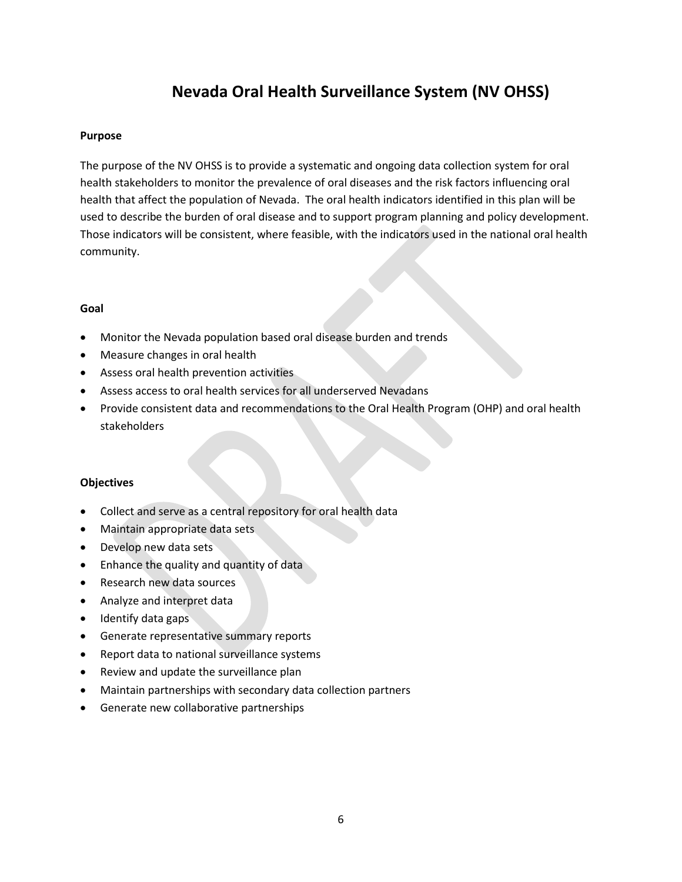## **Nevada Oral Health Surveillance System (NV OHSS)**

#### **Purpose**

The purpose of the NV OHSS is to provide a systematic and ongoing data collection system for oral health stakeholders to monitor the prevalence of oral diseases and the risk factors influencing oral health that affect the population of Nevada. The oral health indicators identified in this plan will be used to describe the burden of oral disease and to support program planning and policy development. Those indicators will be consistent, where feasible, with the indicators used in the national oral health community.

#### **Goal**

- Monitor the Nevada population based oral disease burden and trends
- Measure changes in oral health
- Assess oral health prevention activities
- Assess access to oral health services for all underserved Nevadans
- Provide consistent data and recommendations to the Oral Health Program (OHP) and oral health stakeholders

#### **Objectives**

- Collect and serve as a central repository for oral health data
- Maintain appropriate data sets
- Develop new data sets
- Enhance the quality and quantity of data
- Research new data sources
- Analyze and interpret data
- Identify data gaps
- Generate representative summary reports
- Report data to national surveillance systems
- Review and update the surveillance plan
- Maintain partnerships with secondary data collection partners
- Generate new collaborative partnerships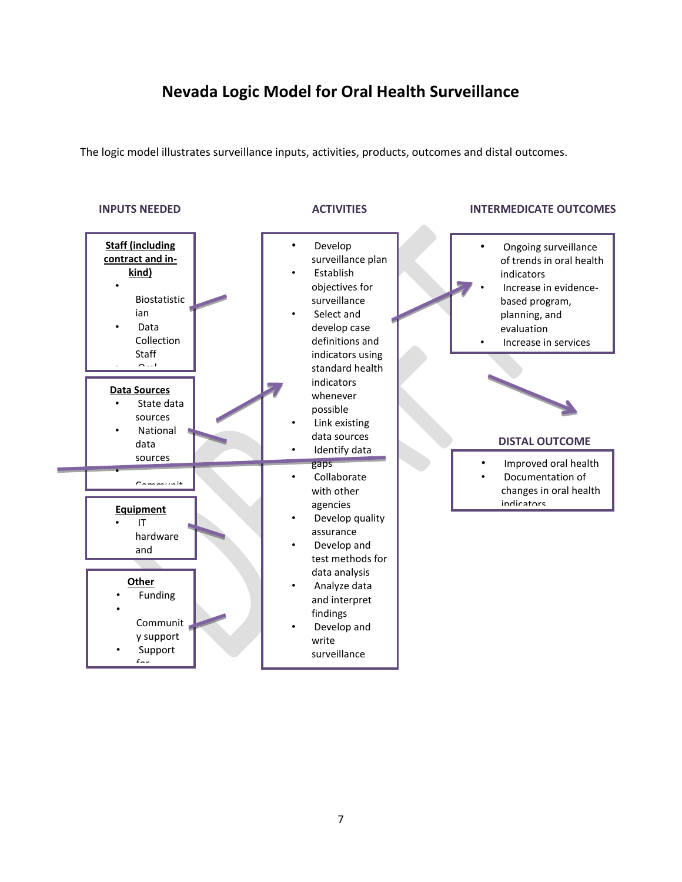### **Nevada Logic Model for Oral Health Surveillance**

The logic model illustrates surveillance inputs, activities, products, outcomes and distal outcomes.

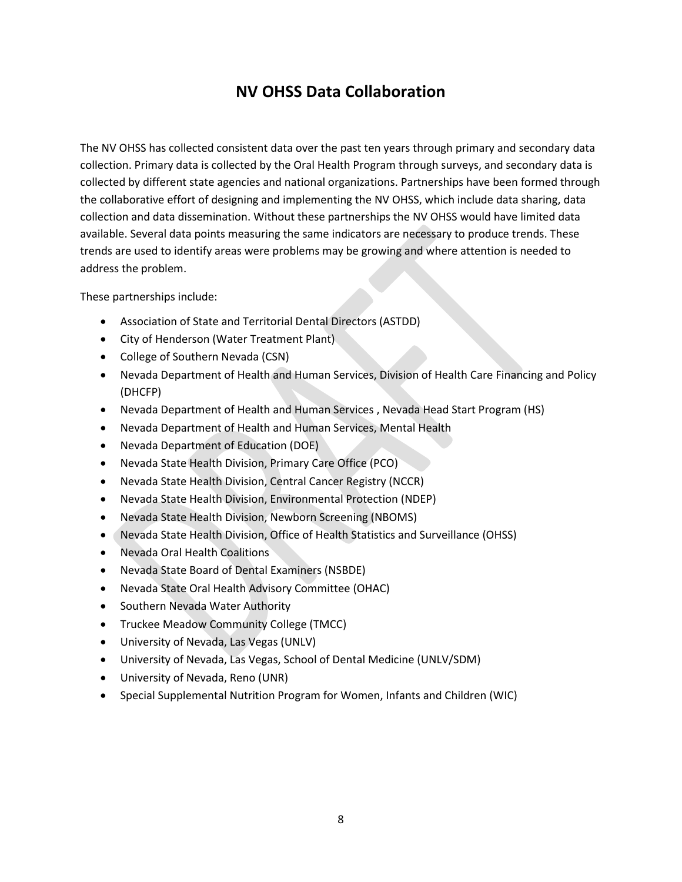### **NV OHSS Data Collaboration**

The NV OHSS has collected consistent data over the past ten years through primary and secondary data collection. Primary data is collected by the Oral Health Program through surveys, and secondary data is collected by different state agencies and national organizations. Partnerships have been formed through the collaborative effort of designing and implementing the NV OHSS, which include data sharing, data collection and data dissemination. Without these partnerships the NV OHSS would have limited data available. Several data points measuring the same indicators are necessary to produce trends. These trends are used to identify areas were problems may be growing and where attention is needed to address the problem.

These partnerships include:

- Association of State and Territorial Dental Directors (ASTDD)
- City of Henderson (Water Treatment Plant)
- College of Southern Nevada (CSN)
- Nevada Department of Health and Human Services, Division of Health Care Financing and Policy (DHCFP)
- Nevada Department of Health and Human Services , Nevada Head Start Program (HS)
- Nevada Department of Health and Human Services, Mental Health
- Nevada Department of Education (DOE)
- Nevada State Health Division, Primary Care Office (PCO)
- Nevada State Health Division, Central Cancer Registry (NCCR)
- Nevada State Health Division, Environmental Protection (NDEP)
- Nevada State Health Division, Newborn Screening (NBOMS)
- Nevada State Health Division, Office of Health Statistics and Surveillance (OHSS)
- Nevada Oral Health Coalitions
- Nevada State Board of Dental Examiners (NSBDE)
- Nevada State Oral Health Advisory Committee (OHAC)
- Southern Nevada Water Authority
- Truckee Meadow Community College (TMCC)
- University of Nevada, Las Vegas (UNLV)
- University of Nevada, Las Vegas, School of Dental Medicine (UNLV/SDM)
- University of Nevada, Reno (UNR)
- Special Supplemental Nutrition Program for Women, Infants and Children (WIC)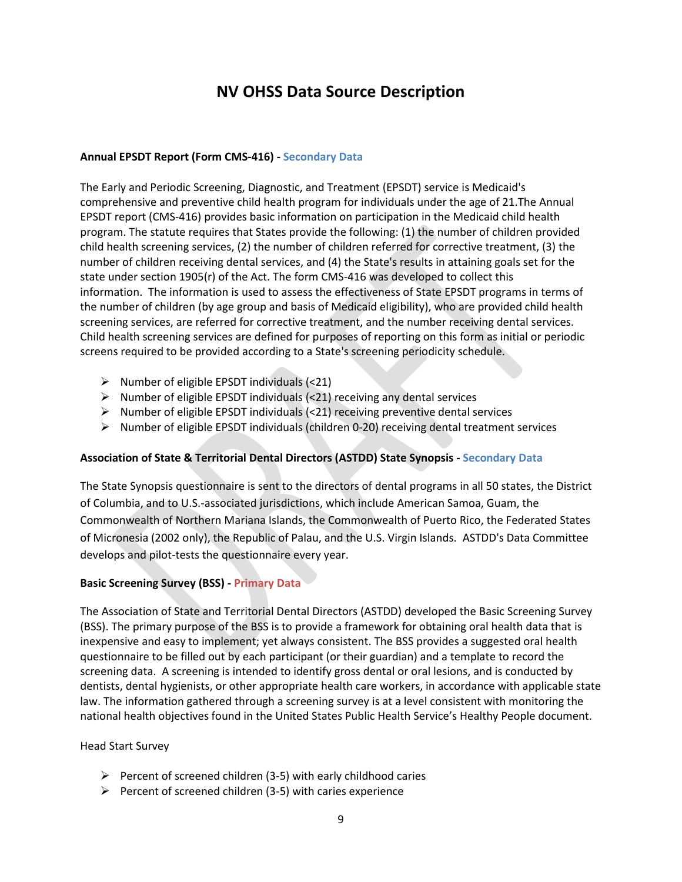## **NV OHSS Data Source Description**

#### **Annual EPSDT Report (Form CMS-416) - Secondary Data**

The Early and Periodic Screening, Diagnostic, and Treatment (EPSDT) service is Medicaid's comprehensive and preventive child health program for individuals under the age of 21.The Annual EPSDT report (CMS-416) provides basic information on participation in the Medicaid child health program. The statute requires that States provide the following: (1) the number of children provided child health screening services, (2) the number of children referred for corrective treatment, (3) the number of children receiving dental services, and (4) the State's results in attaining goals set for the state under section 1905(r) of the Act. The form CMS-416 was developed to collect this information. The information is used to assess the effectiveness of State EPSDT programs in terms of the number of children (by age group and basis of Medicaid eligibility), who are provided child health screening services, are referred for corrective treatment, and the number receiving dental services. Child health screening services are defined for purposes of reporting on this form as initial or periodic screens required to be provided according to a State's screening periodicity schedule.

- $\triangleright$  Number of eligible EPSDT individuals (<21)
- $\triangleright$  Number of eligible EPSDT individuals (<21) receiving any dental services
- $\triangleright$  Number of eligible EPSDT individuals (<21) receiving preventive dental services
- $\triangleright$  Number of eligible EPSDT individuals (children 0-20) receiving dental treatment services

#### **Association of State & Territorial Dental Directors (ASTDD) State Synopsis - Secondary Data**

The State Synopsis questionnaire is sent to the directors of dental programs in all 50 states, the District of Columbia, and to U.S.-associated jurisdictions, which include American Samoa, Guam, the Commonwealth of Northern Mariana Islands, the Commonwealth of Puerto Rico, the Federated States of Micronesia (2002 only), the Republic of Palau, and the U.S. Virgin Islands. ASTDD's Data Committee develops and pilot-tests the questionnaire every year.

#### **Basic Screening Survey (BSS) - Primary Data**

The Association of State and Territorial Dental Directors (ASTDD) developed the Basic Screening Survey (BSS). The primary purpose of the BSS is to provide a framework for obtaining oral health data that is inexpensive and easy to implement; yet always consistent. The BSS provides a suggested oral health questionnaire to be filled out by each participant (or their guardian) and a template to record the screening data. A screening is intended to identify gross dental or oral lesions, and is conducted by dentists, dental hygienists, or other appropriate health care workers, in accordance with applicable state law. The information gathered through a screening survey is at a level consistent with monitoring the national health objectives found in the United States Public Health Service's Healthy People document.

#### Head Start Survey

- $\triangleright$  Percent of screened children (3-5) with early childhood caries
- $\triangleright$  Percent of screened children (3-5) with caries experience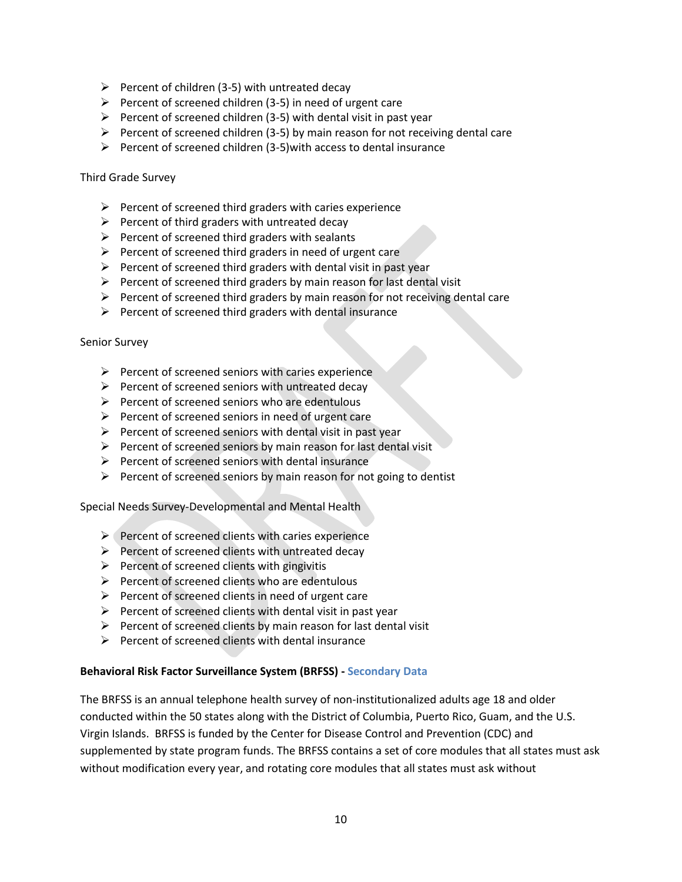- $\triangleright$  Percent of children (3-5) with untreated decay
- Percent of screened children (3-5) in need of urgent care
- $\triangleright$  Percent of screened children (3-5) with dental visit in past year
- Percent of screened children (3-5) by main reason for not receiving dental care
- $\triangleright$  Percent of screened children (3-5) with access to dental insurance

#### Third Grade Survey

- $\triangleright$  Percent of screened third graders with caries experience
- $\triangleright$  Percent of third graders with untreated decay
- $\triangleright$  Percent of screened third graders with sealants
- $\triangleright$  Percent of screened third graders in need of urgent care
- $\triangleright$  Percent of screened third graders with dental visit in past year
- $\triangleright$  Percent of screened third graders by main reason for last dental visit
- $\triangleright$  Percent of screened third graders by main reason for not receiving dental care
- $\triangleright$  Percent of screened third graders with dental insurance

#### Senior Survey

- $\triangleright$  Percent of screened seniors with caries experience
- $\triangleright$  Percent of screened seniors with untreated decay
- $\triangleright$  Percent of screened seniors who are edentulous
- $\triangleright$  Percent of screened seniors in need of urgent care
- $\triangleright$  Percent of screened seniors with dental visit in past year
- $\triangleright$  Percent of screened seniors by main reason for last dental visit
- $\triangleright$  Percent of screened seniors with dental insurance
- $\triangleright$  Percent of screened seniors by main reason for not going to dentist

#### Special Needs Survey-Developmental and Mental Health

- $\triangleright$  Percent of screened clients with caries experience
- $\triangleright$  Percent of screened clients with untreated decay
- $\triangleright$  Percent of screened clients with gingivitis
- $\triangleright$  Percent of screened clients who are edentulous
- $\triangleright$  Percent of screened clients in need of urgent care
- $\triangleright$  Percent of screened clients with dental visit in past year
- $\triangleright$  Percent of screened clients by main reason for last dental visit
- $\triangleright$  Percent of screened clients with dental insurance

#### **Behavioral Risk Factor Surveillance System (BRFSS) - Secondary Data**

The BRFSS is an annual telephone health survey of non-institutionalized adults age 18 and older conducted within the 50 states along with the District of Columbia, Puerto Rico, Guam, and the U.S. Virgin Islands. BRFSS is funded by the Center for Disease Control and Prevention (CDC) and supplemented by state program funds. The BRFSS contains a set of core modules that all states must ask without modification every year, and rotating core modules that all states must ask without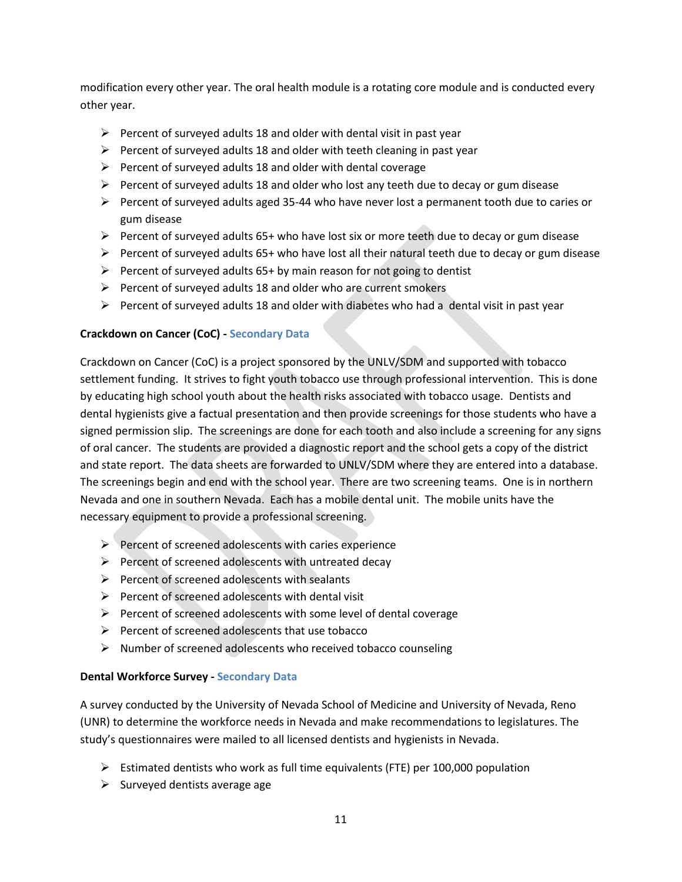modification every other year. The oral health module is a rotating core module and is conducted every other year.

- $\triangleright$  Percent of surveyed adults 18 and older with dental visit in past year
- $\triangleright$  Percent of surveyed adults 18 and older with teeth cleaning in past year
- $\triangleright$  Percent of surveyed adults 18 and older with dental coverage
- $\triangleright$  Percent of surveyed adults 18 and older who lost any teeth due to decay or gum disease
- $\triangleright$  Percent of surveyed adults aged 35-44 who have never lost a permanent tooth due to caries or gum disease
- Percent of surveyed adults 65+ who have lost six or more teeth due to decay or gum disease
- $\triangleright$  Percent of surveyed adults 65+ who have lost all their natural teeth due to decay or gum disease
- $\triangleright$  Percent of surveyed adults 65+ by main reason for not going to dentist
- $\triangleright$  Percent of surveyed adults 18 and older who are current smokers
- $\triangleright$  Percent of surveyed adults 18 and older with diabetes who had a dental visit in past year

#### **Crackdown on Cancer (CoC) - Secondary Data**

Crackdown on Cancer (CoC) is a project sponsored by the UNLV/SDM and supported with tobacco settlement funding. It strives to fight youth tobacco use through professional intervention. This is done by educating high school youth about the health risks associated with tobacco usage. Dentists and dental hygienists give a factual presentation and then provide screenings for those students who have a signed permission slip. The screenings are done for each tooth and also include a screening for any signs of oral cancer. The students are provided a diagnostic report and the school gets a copy of the district and state report. The data sheets are forwarded to UNLV/SDM where they are entered into a database. The screenings begin and end with the school year. There are two screening teams. One is in northern Nevada and one in southern Nevada. Each has a mobile dental unit. The mobile units have the necessary equipment to provide a professional screening.

- $\triangleright$  Percent of screened adolescents with caries experience
- $\triangleright$  Percent of screened adolescents with untreated decay
- $\triangleright$  Percent of screened adolescents with sealants
- $\triangleright$  Percent of screened adolescents with dental visit
- $\triangleright$  Percent of screened adolescents with some level of dental coverage
- $\triangleright$  Percent of screened adolescents that use tobacco
- $\triangleright$  Number of screened adolescents who received tobacco counseling

#### **Dental Workforce Survey - Secondary Data**

A survey conducted by the University of Nevada School of Medicine and University of Nevada, Reno (UNR) to determine the workforce needs in Nevada and make recommendations to legislatures. The study's questionnaires were mailed to all licensed dentists and hygienists in Nevada.

- $\triangleright$  Estimated dentists who work as full time equivalents (FTE) per 100,000 population
- $\triangleright$  Surveyed dentists average age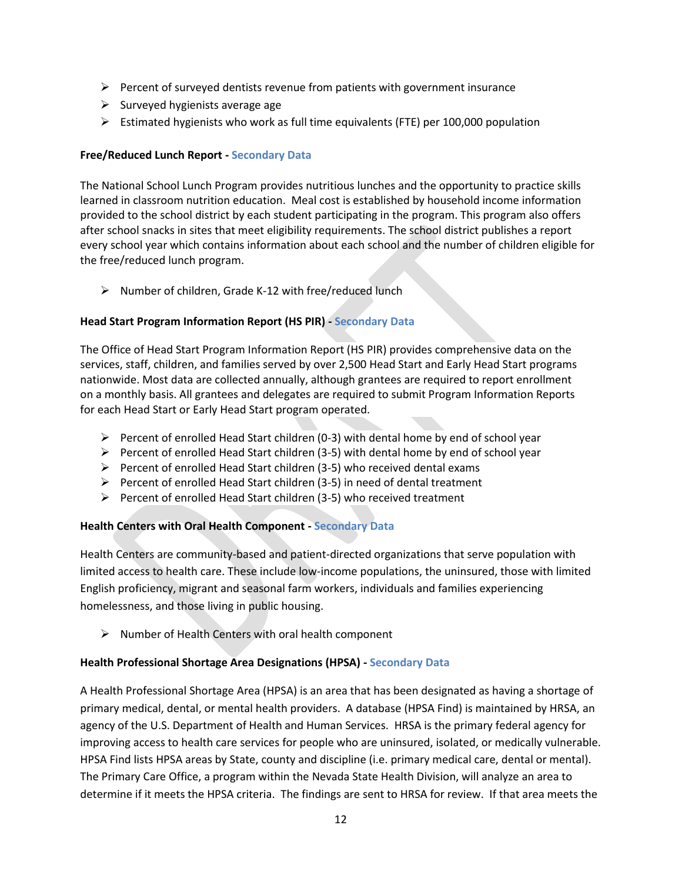- $\triangleright$  Percent of surveyed dentists revenue from patients with government insurance
- $\triangleright$  Surveyed hygienists average age
- $\triangleright$  Estimated hygienists who work as full time equivalents (FTE) per 100,000 population

#### **Free/Reduced Lunch Report - Secondary Data**

The National School Lunch Program provides nutritious lunches and the opportunity to practice skills learned in classroom nutrition education. Meal cost is established by household income information provided to the school district by each student participating in the program. This program also offers after school snacks in sites that meet eligibility requirements. The school district publishes a report every school year which contains information about each school and the number of children eligible for the free/reduced lunch program.

 $\triangleright$  Number of children, Grade K-12 with free/reduced lunch

#### **Head Start Program Information Report (HS PIR) - Secondary Data**

The Office of Head Start Program Information Report (HS PIR) provides comprehensive data on the services, staff, children, and families served by over 2,500 Head Start and Early Head Start programs nationwide. Most data are collected annually, although grantees are required to report enrollment on a monthly basis. All grantees and delegates are required to submit Program Information Reports for each Head Start or Early Head Start program operated.

- $\triangleright$  Percent of enrolled Head Start children (0-3) with dental home by end of school year
- $\triangleright$  Percent of enrolled Head Start children (3-5) with dental home by end of school year
- $\triangleright$  Percent of enrolled Head Start children (3-5) who received dental exams
- $\triangleright$  Percent of enrolled Head Start children (3-5) in need of dental treatment
- $\triangleright$  Percent of enrolled Head Start children (3-5) who received treatment

#### **Health Centers with Oral Health Component - Secondary Data**

Health Centers are community-based and patient-directed organizations that serve population with limited access to health care. These include low-income populations, the uninsured, those with limited English proficiency, migrant and seasonal farm workers, individuals and families experiencing homelessness, and those living in public housing.

 $\triangleright$  Number of Health Centers with oral health component

#### **Health Professional Shortage Area Designations (HPSA) - Secondary Data**

A Health Professional Shortage Area (HPSA) is an area that has been designated as having a shortage of primary medical, dental, or mental health providers. A database (HPSA Find) is maintained by HRSA, an agency of the U.S. Department of Health and Human Services. HRSA is the primary federal agency for improving access to health care services for people who are uninsured, isolated, or medically vulnerable. HPSA Find lists HPSA areas by State, county and discipline (i.e. primary medical care, dental or mental). The Primary Care Office, a program within the Nevada State Health Division, will analyze an area to determine if it meets the HPSA criteria. The findings are sent to HRSA for review. If that area meets the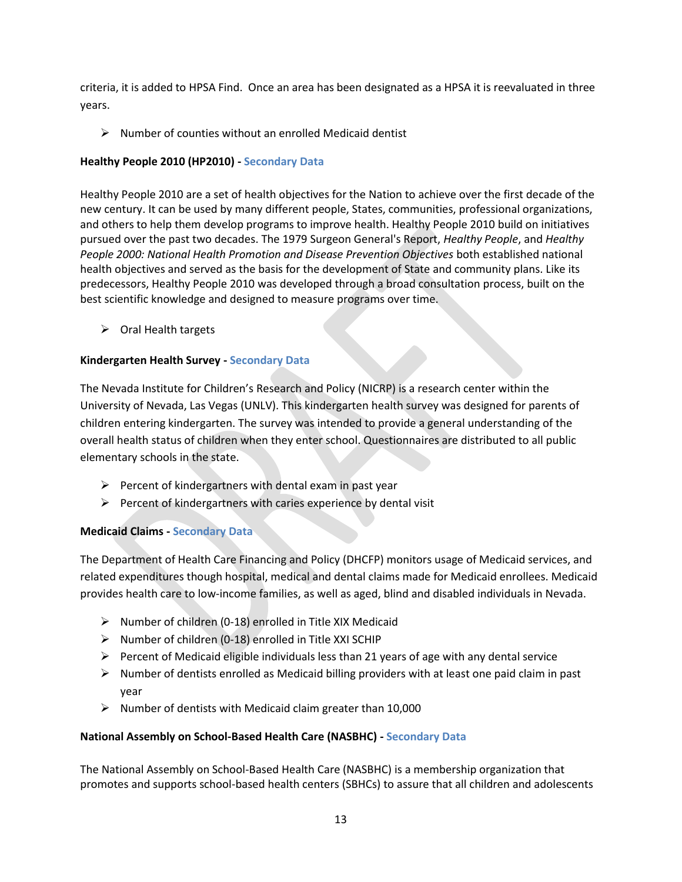criteria, it is added to HPSA Find. Once an area has been designated as a HPSA it is reevaluated in three years.

 $\triangleright$  Number of counties without an enrolled Medicaid dentist

#### **Healthy People 2010 (HP2010) - Secondary Data**

Healthy People 2010 are a set of health objectives for the Nation to achieve over the first decade of the new century. It can be used by many different people, States, communities, professional organizations, and others to help them develop programs to improve health. Healthy People 2010 build on initiatives pursued over the past two decades. The 1979 Surgeon General's Report, *Healthy People*, and *Healthy People 2000: National Health Promotion and Disease Prevention Objectives* both established national health objectives and served as the basis for the development of State and community plans. Like its predecessors, Healthy People 2010 was developed through a broad consultation process, built on the best scientific knowledge and designed to measure programs over time.

 $\triangleright$  Oral Health targets

#### **Kindergarten Health Survey - Secondary Data**

The Nevada Institute for Children's Research and Policy (NICRP) is a research center within the University of Nevada, Las Vegas (UNLV). This kindergarten health survey was designed for parents of children entering kindergarten. The survey was intended to provide a general understanding of the overall health status of children when they enter school. Questionnaires are distributed to all public elementary schools in the state.

- $\triangleright$  Percent of kindergartners with dental exam in past year
- $\triangleright$  Percent of kindergartners with caries experience by dental visit

#### **Medicaid Claims - Secondary Data**

The Department of Health Care Financing and Policy (DHCFP) monitors usage of Medicaid services, and related expenditures though hospital, medical and dental claims made for Medicaid enrollees. Medicaid provides health care to low-income families, as well as aged, blind and disabled individuals in Nevada.

- $\triangleright$  Number of children (0-18) enrolled in Title XIX Medicaid
- $\triangleright$  Number of children (0-18) enrolled in Title XXI SCHIP
- $\triangleright$  Percent of Medicaid eligible individuals less than 21 years of age with any dental service
- $\triangleright$  Number of dentists enrolled as Medicaid billing providers with at least one paid claim in past year
- $\triangleright$  Number of dentists with Medicaid claim greater than 10,000

#### **National Assembly on School-Based Health Care (NASBHC) - Secondary Data**

The National Assembly on School-Based Health Care (NASBHC) is a membership organization that promotes and supports school-based health centers (SBHCs) to assure that all children and adolescents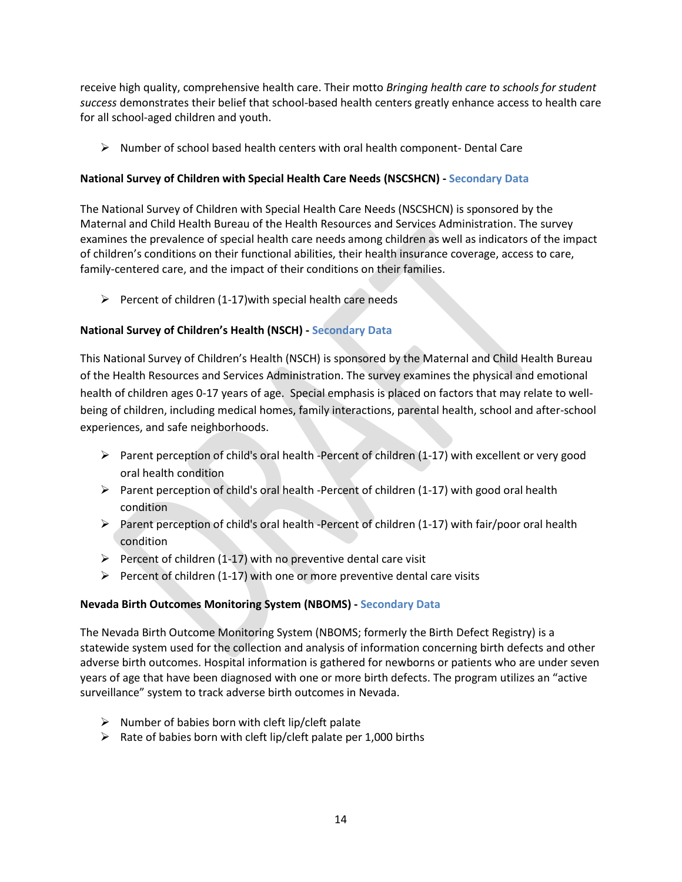receive high quality, comprehensive health care. Their motto *Bringing health care to schools for student success* demonstrates their belief that school-based health centers greatly enhance access to health care for all school-aged children and youth.

 $\triangleright$  Number of school based health centers with oral health component- Dental Care

#### **National Survey of Children with Special Health Care Needs (NSCSHCN) - Secondary Data**

The National Survey of Children with Special Health Care Needs (NSCSHCN) is sponsored by the Maternal and Child Health Bureau of the Health Resources and Services Administration. The survey examines the prevalence of special health care needs among children as well as indicators of the impact of children's conditions on their functional abilities, their health insurance coverage, access to care, family-centered care, and the impact of their conditions on their families.

Percent of children (1-17) with special health care needs

#### **National Survey of Children's Health (NSCH) - Secondary Data**

This National Survey of Children's Health (NSCH) is sponsored by the Maternal and Child Health Bureau of the Health Resources and Services Administration. The survey examines the physical and emotional health of children ages 0-17 years of age. Special emphasis is placed on factors that may relate to wellbeing of children, including medical homes, family interactions, parental health, school and after-school experiences, and safe neighborhoods.

- Parent perception of child's oral health -Percent of children (1-17) with excellent or very good oral health condition
- Parent perception of child's oral health -Percent of children (1-17) with good oral health condition
- $\triangleright$  Parent perception of child's oral health -Percent of children (1-17) with fair/poor oral health condition
- $\triangleright$  Percent of children (1-17) with no preventive dental care visit
- $\triangleright$  Percent of children (1-17) with one or more preventive dental care visits

#### **Nevada Birth Outcomes Monitoring System (NBOMS) - Secondary Data**

The Nevada Birth Outcome Monitoring System (NBOMS; formerly the Birth Defect Registry) is a statewide system used for the collection and analysis of information concerning birth defects and other adverse birth outcomes. Hospital information is gathered for newborns or patients who are under seven years of age that have been diagnosed with one or more birth defects. The program utilizes an "active surveillance" system to track adverse birth outcomes in Nevada.

- $\triangleright$  Number of babies born with cleft lip/cleft palate
- $\triangleright$  Rate of babies born with cleft lip/cleft palate per 1,000 births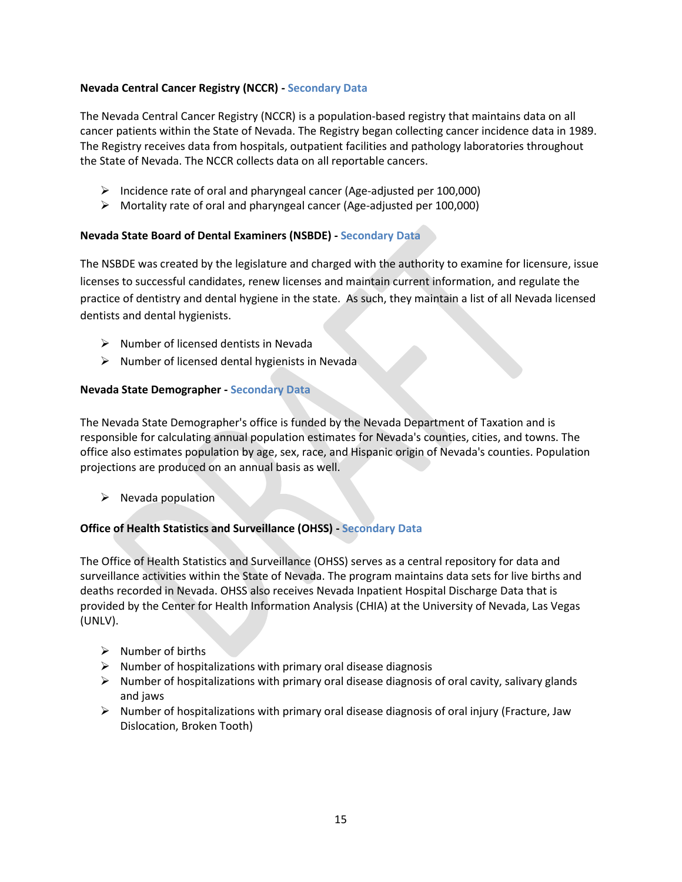#### **Nevada Central Cancer Registry (NCCR) - Secondary Data**

The Nevada Central Cancer Registry (NCCR) is a population-based registry that maintains data on all cancer patients within the State of Nevada. The Registry began collecting cancer incidence data in 1989. The Registry receives data from hospitals, outpatient facilities and pathology laboratories throughout the State of Nevada. The NCCR collects data on all reportable cancers.

- $\triangleright$  Incidence rate of oral and pharyngeal cancer (Age-adjusted per 100,000)
- Mortality rate of oral and pharyngeal cancer (Age-adjusted per 100,000)

#### **Nevada State Board of Dental Examiners (NSBDE) - Secondary Data**

The NSBDE was created by the legislature and charged with the authority to examine for licensure, issue licenses to successful candidates, renew licenses and maintain current information, and regulate the practice of dentistry and dental hygiene in the state. As such, they maintain a list of all Nevada licensed dentists and dental hygienists.

- $\triangleright$  Number of licensed dentists in Nevada
- $\triangleright$  Number of licensed dental hygienists in Nevada

#### **Nevada State Demographer - Secondary Data**

The Nevada State Demographer's office is funded by the Nevada Department of Taxation and is responsible for calculating annual population estimates for Nevada's counties, cities, and towns. The office also estimates population by age, sex, race, and Hispanic origin of Nevada's counties. Population projections are produced on an annual basis as well.

 $\triangleright$  Nevada population

#### **Office of Health Statistics and Surveillance (OHSS) - Secondary Data**

The Office of Health Statistics and Surveillance (OHSS) serves as a central repository for data and surveillance activities within the State of Nevada. The program maintains data sets for live births and deaths recorded in Nevada. OHSS also receives Nevada Inpatient Hospital Discharge Data that is provided by the Center for Health Information Analysis (CHIA) at the University of Nevada, Las Vegas (UNLV).

- $\triangleright$  Number of births
- $\triangleright$  Number of hospitalizations with primary oral disease diagnosis
- $\triangleright$  Number of hospitalizations with primary oral disease diagnosis of oral cavity, salivary glands and jaws
- $\triangleright$  Number of hospitalizations with primary oral disease diagnosis of oral injury (Fracture, Jaw Dislocation, Broken Tooth)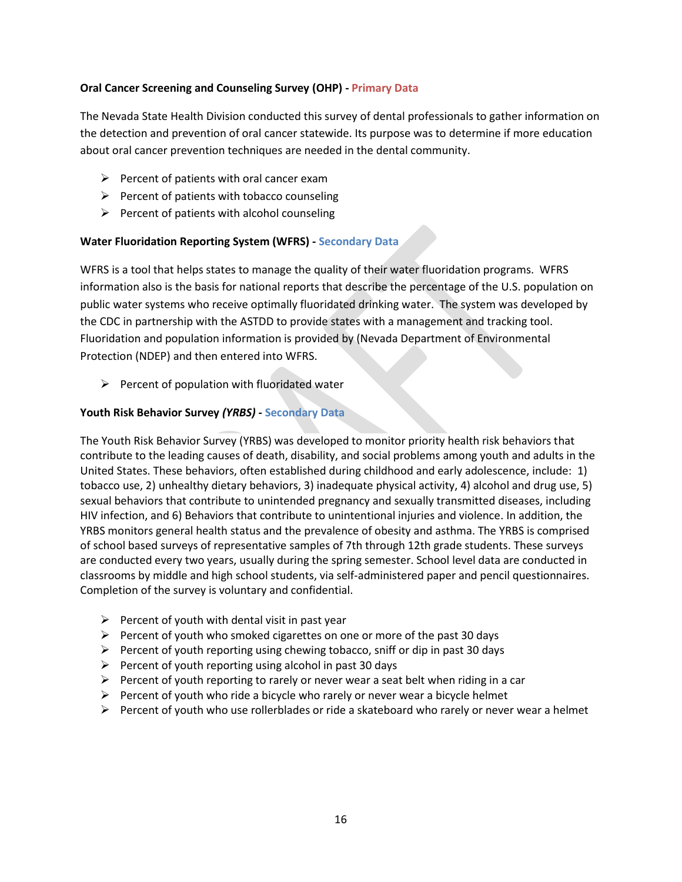#### **Oral Cancer Screening and Counseling Survey (OHP) - Primary Data**

The Nevada State Health Division conducted this survey of dental professionals to gather information on the detection and prevention of oral cancer statewide. Its purpose was to determine if more education about oral cancer prevention techniques are needed in the dental community.

- $\triangleright$  Percent of patients with oral cancer exam
- $\triangleright$  Percent of patients with tobacco counseling
- $\triangleright$  Percent of patients with alcohol counseling

#### **Water Fluoridation Reporting System (WFRS) - Secondary Data**

WFRS is a tool that helps states to manage the quality of their water fluoridation programs. WFRS information also is the basis for national reports that describe the percentage of the U.S. population on public water systems who receive optimally fluoridated drinking water. The system was developed by the CDC in partnership with the ASTDD to provide states with a management and tracking tool. Fluoridation and population information is provided by (Nevada Department of Environmental Protection (NDEP) and then entered into WFRS.

 $\triangleright$  Percent of population with fluoridated water

#### **Youth Risk Behavior Survey** *(YRBS)* **- Secondary Data**

The Youth Risk Behavior Survey (YRBS) was developed to monitor priority health risk behaviors that contribute to the leading causes of death, disability, and social problems among youth and adults in the United States. These behaviors, often established during childhood and early adolescence, include: 1) tobacco use, 2) unhealthy dietary behaviors, 3) inadequate physical activity, 4) alcohol and drug use, 5) sexual behaviors that contribute to unintended pregnancy and sexually transmitted diseases, including HIV infection, and 6) Behaviors that contribute to unintentional injuries and violence. In addition, the YRBS monitors general health status and the prevalence of obesity and asthma. The YRBS is comprised of school based surveys of representative samples of 7th through 12th grade students. These surveys are conducted every two years, usually during the spring semester. School level data are conducted in classrooms by middle and high school students, via self-administered paper and pencil questionnaires. Completion of the survey is voluntary and confidential.

- $\triangleright$  Percent of youth with dental visit in past year
- $\triangleright$  Percent of youth who smoked cigarettes on one or more of the past 30 days
- $\triangleright$  Percent of youth reporting using chewing tobacco, sniff or dip in past 30 days
- $\triangleright$  Percent of youth reporting using alcohol in past 30 days
- $\triangleright$  Percent of youth reporting to rarely or never wear a seat belt when riding in a car
- $\triangleright$  Percent of youth who ride a bicycle who rarely or never wear a bicycle helmet
- $\triangleright$  Percent of youth who use rollerblades or ride a skateboard who rarely or never wear a helmet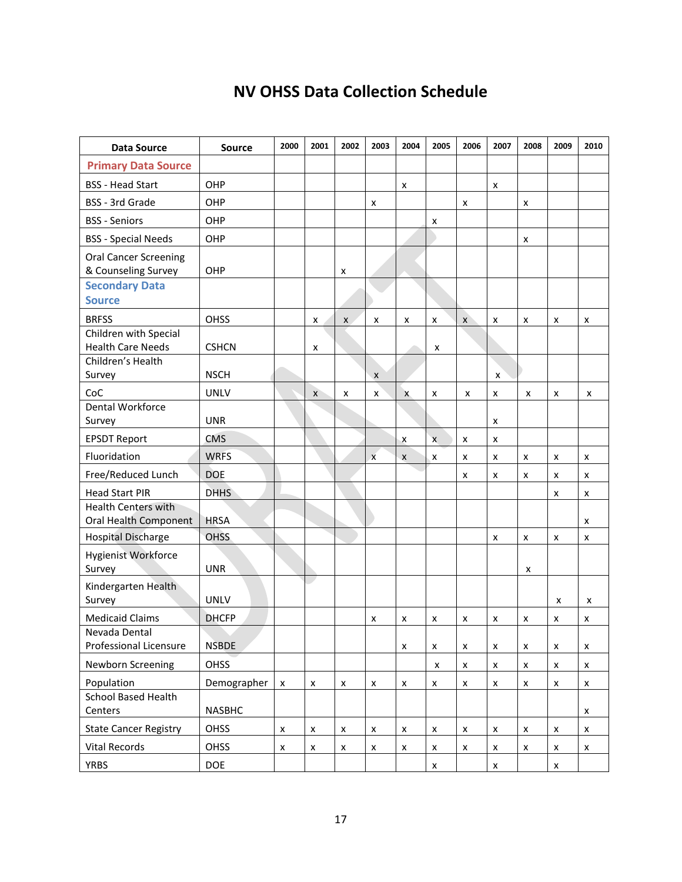# **NV OHSS Data Collection Schedule**

| <b>Data Source</b>                     | <b>Source</b> | 2000               | 2001               | 2002 | 2003               | 2004               | 2005 | 2006               | 2007               | 2008 | 2009           | 2010 |
|----------------------------------------|---------------|--------------------|--------------------|------|--------------------|--------------------|------|--------------------|--------------------|------|----------------|------|
| <b>Primary Data Source</b>             |               |                    |                    |      |                    |                    |      |                    |                    |      |                |      |
| <b>BSS - Head Start</b>                | OHP           |                    |                    |      |                    | x                  |      |                    | X                  |      |                |      |
| BSS - 3rd Grade                        | OHP           |                    |                    |      | х                  |                    |      | x                  |                    | х    |                |      |
| <b>BSS</b> - Seniors                   | OHP           |                    |                    |      |                    |                    | x    |                    |                    |      |                |      |
| <b>BSS</b> - Special Needs             | OHP           |                    |                    |      |                    |                    |      |                    |                    | X    |                |      |
| <b>Oral Cancer Screening</b>           |               |                    |                    |      |                    |                    |      |                    |                    |      |                |      |
| & Counseling Survey                    | OHP           |                    |                    | x    |                    |                    |      |                    |                    |      |                |      |
| <b>Secondary Data</b><br><b>Source</b> |               |                    |                    |      |                    |                    |      |                    |                    |      |                |      |
|                                        |               |                    |                    |      |                    |                    |      |                    |                    |      |                |      |
| <b>BRFSS</b><br>Children with Special  | OHSS          |                    | x                  | X    | $\pmb{\times}$     | x                  | x    | $\pmb{\mathsf{x}}$ | х                  | x    | X              | x    |
| <b>Health Care Needs</b>               | <b>CSHCN</b>  |                    | x                  |      |                    |                    | x    |                    |                    |      |                |      |
| Children's Health                      |               |                    |                    |      |                    |                    |      |                    |                    |      |                |      |
| Survey                                 | <b>NSCH</b>   |                    |                    |      | $\pmb{\times}$     |                    |      |                    | x                  |      |                |      |
| CoC<br>Dental Workforce                | <b>UNLV</b>   |                    | X                  | x    | x                  | x                  | x    | x                  | х                  | x    | x              | x    |
| Survey                                 | <b>UNR</b>    |                    |                    |      |                    |                    |      |                    | x                  |      |                |      |
| <b>EPSDT Report</b>                    | <b>CMS</b>    |                    |                    |      |                    | x                  | X    | x                  | x                  |      |                |      |
| Fluoridation                           | <b>WRFS</b>   |                    |                    |      | X                  | X                  | x    | x                  | x                  | x    | x              | x    |
| Free/Reduced Lunch                     | <b>DOE</b>    |                    |                    |      |                    |                    |      | x                  | x                  | x    | x              | x    |
| <b>Head Start PIR</b>                  | <b>DHHS</b>   |                    |                    |      |                    |                    |      |                    |                    |      | X              | x    |
| <b>Health Centers with</b>             |               |                    |                    |      |                    |                    |      |                    |                    |      |                |      |
| Oral Health Component                  | <b>HRSA</b>   |                    |                    |      |                    |                    |      |                    |                    |      |                | x    |
| <b>Hospital Discharge</b>              | <b>OHSS</b>   |                    |                    |      |                    |                    |      |                    | x                  | x    | x              | x    |
| <b>Hygienist Workforce</b>             |               |                    |                    |      |                    |                    |      |                    |                    |      |                |      |
| Survey                                 | <b>UNR</b>    |                    |                    |      |                    |                    |      |                    |                    | X    |                |      |
| Kindergarten Health<br>Survey          | <b>UNLV</b>   |                    |                    |      |                    |                    |      |                    |                    |      | x              | x    |
| <b>Medicaid Claims</b>                 | <b>DHCFP</b>  |                    |                    |      | x                  | x                  | x    | x                  | х                  | x    | x              | x    |
| Nevada Dental                          |               |                    |                    |      |                    |                    |      |                    |                    |      |                |      |
| Professional Licensure                 | <b>NSBDE</b>  |                    |                    |      |                    | $\pmb{\mathsf{X}}$ | x    | $\pmb{\mathsf{x}}$ | $\pmb{\mathsf{x}}$ | X    | $\pmb{\times}$ | X    |
| Newborn Screening                      | <b>OHSS</b>   |                    |                    |      |                    |                    | X    | X                  | X                  | x    | X              | x    |
| Population                             | Demographer   | $\pmb{\mathsf{x}}$ | $\pmb{\mathsf{x}}$ | X    | X                  | x                  | x    | $\pmb{\mathsf{x}}$ | $\pmb{\mathsf{x}}$ | x    | X              | X    |
| <b>School Based Health</b>             |               |                    |                    |      |                    |                    |      |                    |                    |      |                |      |
| Centers                                | <b>NASBHC</b> |                    |                    |      |                    |                    |      |                    |                    |      |                | X    |
| <b>State Cancer Registry</b>           | OHSS          | $\pmb{\times}$     | $\pmb{\times}$     | X    | $\pmb{\mathsf{x}}$ | X                  | x    | X                  | $\pmb{\times}$     | x    | x              | x    |
| <b>Vital Records</b>                   | OHSS          | x                  | X                  | x    | $\pmb{\times}$     | x                  | x    | X                  | $\pmb{\mathsf{x}}$ | x    | x              | x    |
| <b>YRBS</b>                            | DOE           |                    |                    |      |                    |                    | x    |                    | $\pmb{\mathsf{X}}$ |      | x              |      |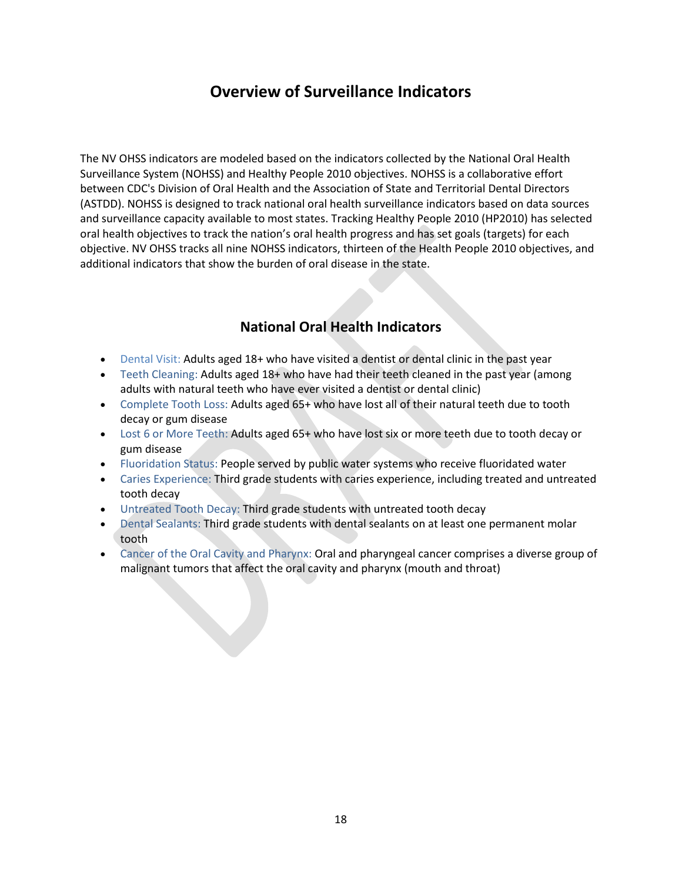### **Overview of Surveillance Indicators**

The NV OHSS indicators are modeled based on the indicators collected by the National Oral Health Surveillance System (NOHSS) and Healthy People 2010 objectives. NOHSS is a collaborative effort between CDC's Division of Oral Health and the Association of State and Territorial Dental Directors (ASTDD). NOHSS is designed to track national oral health surveillance indicators based on data sources and surveillance capacity available to most states. Tracking Healthy People 2010 (HP2010) has selected oral health objectives to track the nation's oral health progress and has set goals (targets) for each objective. NV OHSS tracks all nine NOHSS indicators, thirteen of the Health People 2010 objectives, and additional indicators that show the burden of oral disease in the state.

### **National Oral Health Indicators**

- Dental Visit: Adults aged 18+ who have visited a dentist or dental clinic in the past year
- Teeth Cleaning: Adults aged 18+ who have had their teeth cleaned in the past year (among adults with natural teeth who have ever visited a dentist or dental clinic)
- Complete Tooth Loss: Adults aged 65+ who have lost all of their natural teeth due to tooth decay or gum disease
- Lost 6 or More Teeth: Adults aged 65+ who have lost six or more teeth due to tooth decay or gum disease
- Fluoridation Status: People served by public water systems who receive fluoridated water
- Caries Experience: Third grade students with caries experience, including treated and untreated tooth decay
- Untreated Tooth Decay: Third grade students with untreated tooth decay
- Dental Sealants: Third grade students with dental sealants on at least one permanent molar tooth
- Cancer of the Oral Cavity and Pharynx: Oral and pharyngeal cancer comprises a diverse group of malignant tumors that affect the oral cavity and pharynx (mouth and throat)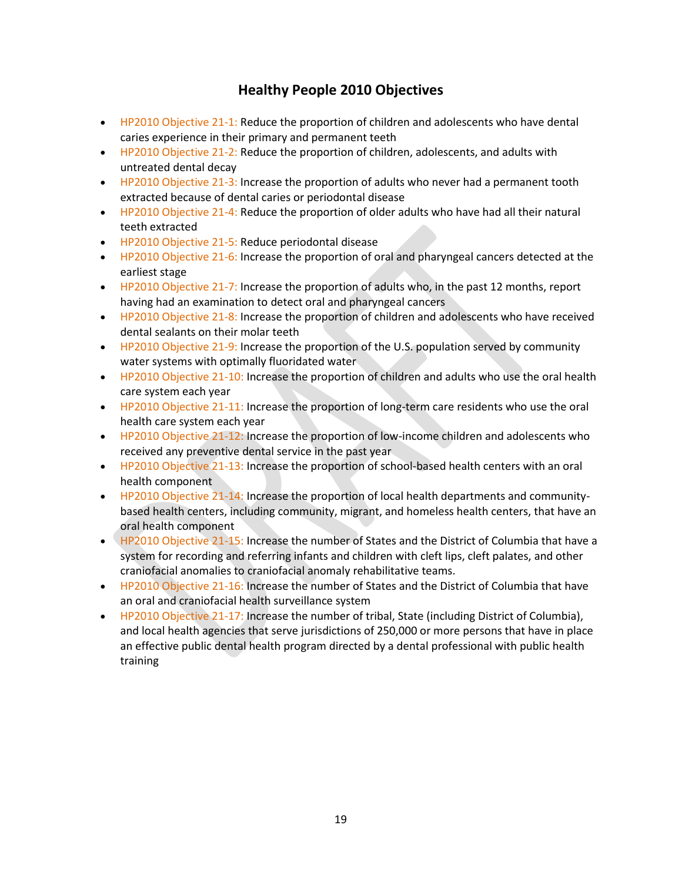### **Healthy People 2010 Objectives**

- **HP2010 Objective 21-1: Reduce the proportion of children and adolescents who have dental** caries experience in their primary and permanent teeth
- **HP2010 Objective 21-2: Reduce the proportion of children, adolescents, and adults with** untreated dental decay
- **HP2010 Objective 21-3: Increase the proportion of adults who never had a permanent tooth** extracted because of dental caries or periodontal disease
- HP2010 Objective 21-4: Reduce the proportion of older adults who have had all their natural teeth extracted
- HP2010 Objective 21-5: Reduce periodontal disease
- **HP2010 Objective 21-6: Increase the proportion of oral and pharyngeal cancers detected at the** earliest stage
- **HP2010 Objective 21-7: Increase the proportion of adults who, in the past 12 months, report** having had an examination to detect oral and pharyngeal cancers
- HP2010 Objective 21-8: Increase the proportion of children and adolescents who have received dental sealants on their molar teeth
- HP2010 Objective 21-9: Increase the proportion of the U.S. population served by community water systems with optimally fluoridated water
- **HP2010 Objective 21-10: Increase the proportion of children and adults who use the oral health** care system each year
- **HP2010 Objective 21-11: Increase the proportion of long-term care residents who use the oral** health care system each year
- HP2010 Objective 21-12: Increase the proportion of low-income children and adolescents who received any preventive dental service in the past year
- **HP2010 Objective 21-13: Increase the proportion of school-based health centers with an oral** health component
- **HP2010 Objective 21-14: Increase the proportion of local health departments and community**based health centers, including community, migrant, and homeless health centers, that have an oral health component
- **HP2010 Objective 21-15: Increase the number of States and the District of Columbia that have a** system for recording and referring infants and children with cleft lips, cleft palates, and other craniofacial anomalies to craniofacial anomaly rehabilitative teams.
- **HP2010 Objective 21-16: Increase the number of States and the District of Columbia that have** an oral and craniofacial health surveillance system
- **HP2010 Objective 21-17: Increase the number of tribal, State (including District of Columbia),** and local health agencies that serve jurisdictions of 250,000 or more persons that have in place an effective public dental health program directed by a dental professional with public health training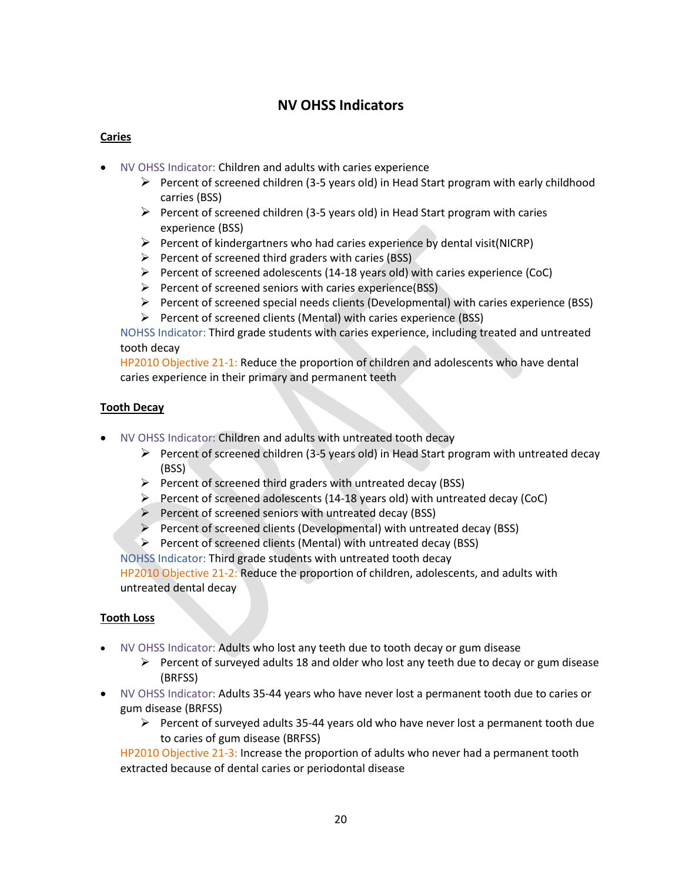### **NV OHSS Indicators**

#### **Caries**

- NV OHSS Indicator: Children and adults with caries experience
	- Percent of screened children (3-5 years old) in Head Start program with early childhood carries (BSS)
	- $\triangleright$  Percent of screened children (3-5 years old) in Head Start program with caries experience (BSS)
	- $\triangleright$  Percent of kindergartners who had caries experience by dental visit(NICRP)
	- $\triangleright$  Percent of screened third graders with caries (BSS)
	- $\triangleright$  Percent of screened adolescents (14-18 years old) with caries experience (CoC)
	- $\triangleright$  Percent of screened seniors with caries experience(BSS)
	- Percent of screened special needs clients (Developmental) with caries experience (BSS)
	- $\triangleright$  Percent of screened clients (Mental) with caries experience (BSS)

NOHSS Indicator: Third grade students with caries experience, including treated and untreated tooth decay

HP2010 Objective 21-1: Reduce the proportion of children and adolescents who have dental caries experience in their primary and permanent teeth

#### **Tooth Decay**

- NV OHSS Indicator: Children and adults with untreated tooth decay
	- $\triangleright$  Percent of screened children (3-5 years old) in Head Start program with untreated decay (BSS)
	- $\triangleright$  Percent of screened third graders with untreated decay (BSS)
	- Percent of screened adolescents (14-18 years old) with untreated decay (CoC)
	- $\triangleright$  Percent of screened seniors with untreated decay (BSS)
	- Percent of screened clients (Developmental) with untreated decay (BSS)
	- $\triangleright$  Percent of screened clients (Mental) with untreated decay (BSS)

NOHSS Indicator: Third grade students with untreated tooth decay

HP2010 Objective 21-2: Reduce the proportion of children, adolescents, and adults with untreated dental decay

#### **Tooth Loss**

- NV OHSS Indicator: Adults who lost any teeth due to tooth decay or gum disease
	- $\triangleright$  Percent of surveyed adults 18 and older who lost any teeth due to decay or gum disease (BRFSS)
- NV OHSS Indicator: Adults 35-44 years who have never lost a permanent tooth due to caries or gum disease (BRFSS)
	- $\triangleright$  Percent of surveyed adults 35-44 years old who have never lost a permanent tooth due to caries of gum disease (BRFSS)

HP2010 Objective 21-3: Increase the proportion of adults who never had a permanent tooth extracted because of dental caries or periodontal disease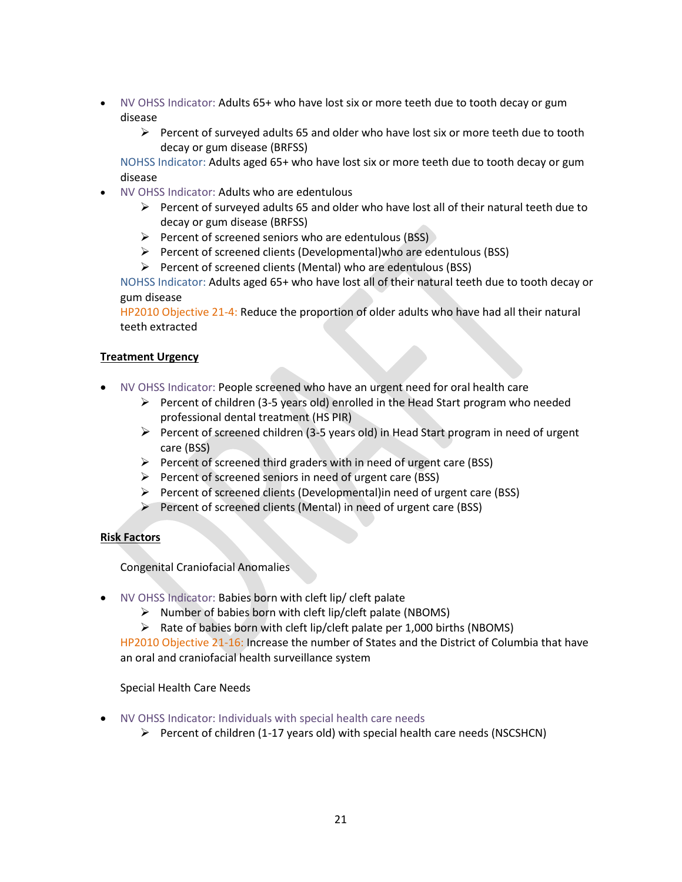- NV OHSS Indicator: Adults 65+ who have lost six or more teeth due to tooth decay or gum disease
	- $\triangleright$  Percent of surveyed adults 65 and older who have lost six or more teeth due to tooth decay or gum disease (BRFSS)

NOHSS Indicator: Adults aged 65+ who have lost six or more teeth due to tooth decay or gum disease

- NV OHSS Indicator: Adults who are edentulous
	- Percent of surveyed adults 65 and older who have lost all of their natural teeth due to decay or gum disease (BRFSS)
	- $\triangleright$  Percent of screened seniors who are edentulous (BSS)
	- $\triangleright$  Percent of screened clients (Developmental) who are edentulous (BSS)
	- $\triangleright$  Percent of screened clients (Mental) who are edentulous (BSS)

NOHSS Indicator: Adults aged 65+ who have lost all of their natural teeth due to tooth decay or gum disease

HP2010 Objective 21-4: Reduce the proportion of older adults who have had all their natural teeth extracted

#### **Treatment Urgency**

- NV OHSS Indicator: People screened who have an urgent need for oral health care
	- $\triangleright$  Percent of children (3-5 years old) enrolled in the Head Start program who needed professional dental treatment (HS PIR)
	- Percent of screened children (3-5 years old) in Head Start program in need of urgent care (BSS)
	- $\triangleright$  Percent of screened third graders with in need of urgent care (BSS)
	- $\triangleright$  Percent of screened seniors in need of urgent care (BSS)
	- $\triangleright$  Percent of screened clients (Developmental) in need of urgent care (BSS)
	- $\triangleright$  Percent of screened clients (Mental) in need of urgent care (BSS)

#### **Risk Factors**

Congenital Craniofacial Anomalies

- NV OHSS Indicator: Babies born with cleft lip/ cleft palate
	- $\triangleright$  Number of babies born with cleft lip/cleft palate (NBOMS)
	- $\triangleright$  Rate of babies born with cleft lip/cleft palate per 1,000 births (NBOMS)

HP2010 Objective 21-16: Increase the number of States and the District of Columbia that have an oral and craniofacial health surveillance system

Special Health Care Needs

- NV OHSS Indicator: Individuals with special health care needs
	- $\triangleright$  Percent of children (1-17 years old) with special health care needs (NSCSHCN)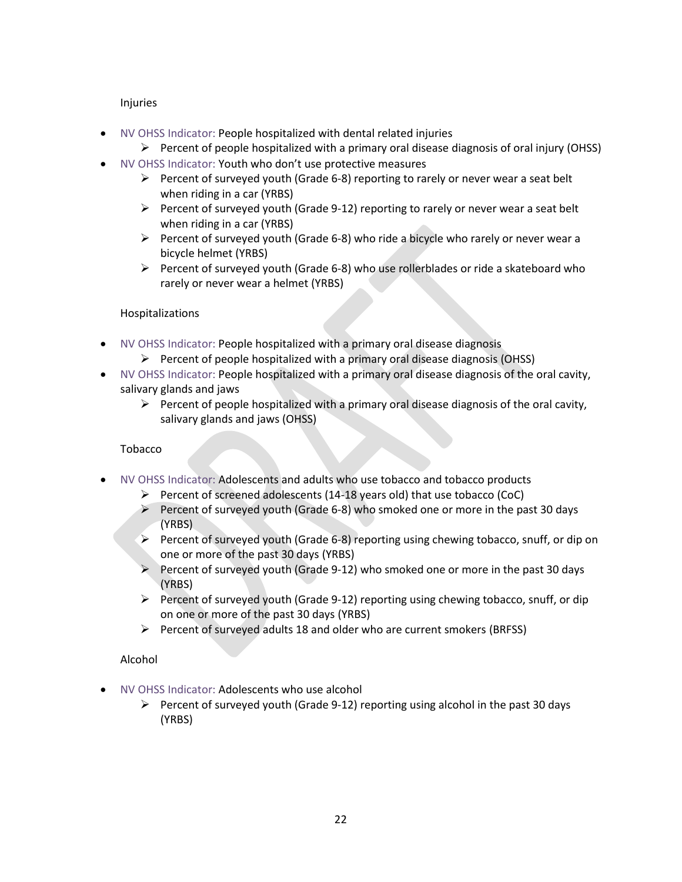#### Injuries

- NV OHSS Indicator: People hospitalized with dental related injuries
	- $\triangleright$  Percent of people hospitalized with a primary oral disease diagnosis of oral injury (OHSS)
- NV OHSS Indicator: Youth who don't use protective measures
	- Percent of surveyed youth (Grade 6-8) reporting to rarely or never wear a seat belt when riding in a car (YRBS)
	- $\triangleright$  Percent of surveyed youth (Grade 9-12) reporting to rarely or never wear a seat belt when riding in a car (YRBS)
	- $\triangleright$  Percent of surveyed youth (Grade 6-8) who ride a bicycle who rarely or never wear a bicycle helmet (YRBS)
	- Percent of surveyed youth (Grade 6-8) who use rollerblades or ride a skateboard who rarely or never wear a helmet (YRBS)

#### **Hospitalizations**

- NV OHSS Indicator: People hospitalized with a primary oral disease diagnosis
	- $\triangleright$  Percent of people hospitalized with a primary oral disease diagnosis (OHSS)
- NV OHSS Indicator: People hospitalized with a primary oral disease diagnosis of the oral cavity, salivary glands and jaws
	- $\triangleright$  Percent of people hospitalized with a primary oral disease diagnosis of the oral cavity, salivary glands and jaws (OHSS)

#### Tobacco

- NV OHSS Indicator: Adolescents and adults who use tobacco and tobacco products
	- Percent of screened adolescents (14-18 years old) that use tobacco (CoC)
	- Percent of surveyed youth (Grade 6-8) who smoked one or more in the past 30 days (YRBS)
	- $\triangleright$  Percent of surveyed youth (Grade 6-8) reporting using chewing tobacco, snuff, or dip on one or more of the past 30 days (YRBS)
	- Percent of surveyed youth (Grade 9-12) who smoked one or more in the past 30 days (YRBS)
	- Percent of surveyed youth (Grade 9-12) reporting using chewing tobacco, snuff, or dip on one or more of the past 30 days (YRBS)
	- $\triangleright$  Percent of surveyed adults 18 and older who are current smokers (BRFSS)

#### Alcohol

- NV OHSS Indicator: Adolescents who use alcohol
	- Percent of surveyed youth (Grade 9-12) reporting using alcohol in the past 30 days (YRBS)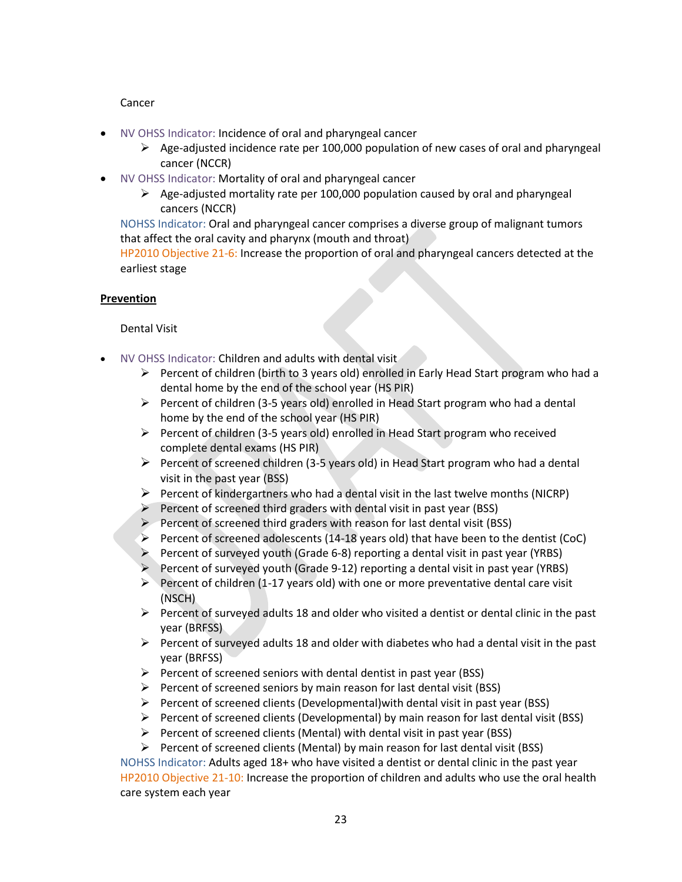#### Cancer

- NV OHSS Indicator: Incidence of oral and pharyngeal cancer
	- $\triangleright$  Age-adjusted incidence rate per 100,000 population of new cases of oral and pharyngeal cancer (NCCR)
- NV OHSS Indicator: Mortality of oral and pharyngeal cancer
	- $\triangleright$  Age-adjusted mortality rate per 100,000 population caused by oral and pharyngeal cancers (NCCR)

NOHSS Indicator: Oral and pharyngeal cancer comprises a diverse group of malignant tumors that affect the oral cavity and pharynx (mouth and throat)

HP2010 Objective 21-6: Increase the proportion of oral and pharyngeal cancers detected at the earliest stage

#### **Prevention**

#### Dental Visit

- NV OHSS Indicator: Children and adults with dental visit
	- $\triangleright$  Percent of children (birth to 3 years old) enrolled in Early Head Start program who had a dental home by the end of the school year (HS PIR)
	- $\triangleright$  Percent of children (3-5 years old) enrolled in Head Start program who had a dental home by the end of the school year (HS PIR)
	- $\triangleright$  Percent of children (3-5 years old) enrolled in Head Start program who received complete dental exams (HS PIR)
	- $\triangleright$  Percent of screened children (3-5 years old) in Head Start program who had a dental visit in the past year (BSS)
	- $\triangleright$  Percent of kindergartners who had a dental visit in the last twelve months (NICRP)
	- $\triangleright$  Percent of screened third graders with dental visit in past year (BSS)
	- $\triangleright$  Percent of screened third graders with reason for last dental visit (BSS)
	- Percent of screened adolescents (14-18 years old) that have been to the dentist (CoC)
	- Percent of surveyed youth (Grade 6-8) reporting a dental visit in past year (YRBS)
	- Percent of surveyed youth (Grade 9-12) reporting a dental visit in past year (YRBS)
	- $\triangleright$  Percent of children (1-17 years old) with one or more preventative dental care visit (NSCH)
	- $\triangleright$  Percent of surveyed adults 18 and older who visited a dentist or dental clinic in the past year (BRFSS)
	- $\triangleright$  Percent of surveyed adults 18 and older with diabetes who had a dental visit in the past year (BRFSS)
	- $\triangleright$  Percent of screened seniors with dental dentist in past year (BSS)
	- $\triangleright$  Percent of screened seniors by main reason for last dental visit (BSS)
	- Percent of screened clients (Developmental) with dental visit in past year (BSS)
	- $\triangleright$  Percent of screened clients (Developmental) by main reason for last dental visit (BSS)
	- $\triangleright$  Percent of screened clients (Mental) with dental visit in past year (BSS)
	- $\triangleright$  Percent of screened clients (Mental) by main reason for last dental visit (BSS)

NOHSS Indicator: Adults aged 18+ who have visited a dentist or dental clinic in the past year HP2010 Objective 21-10: Increase the proportion of children and adults who use the oral health care system each year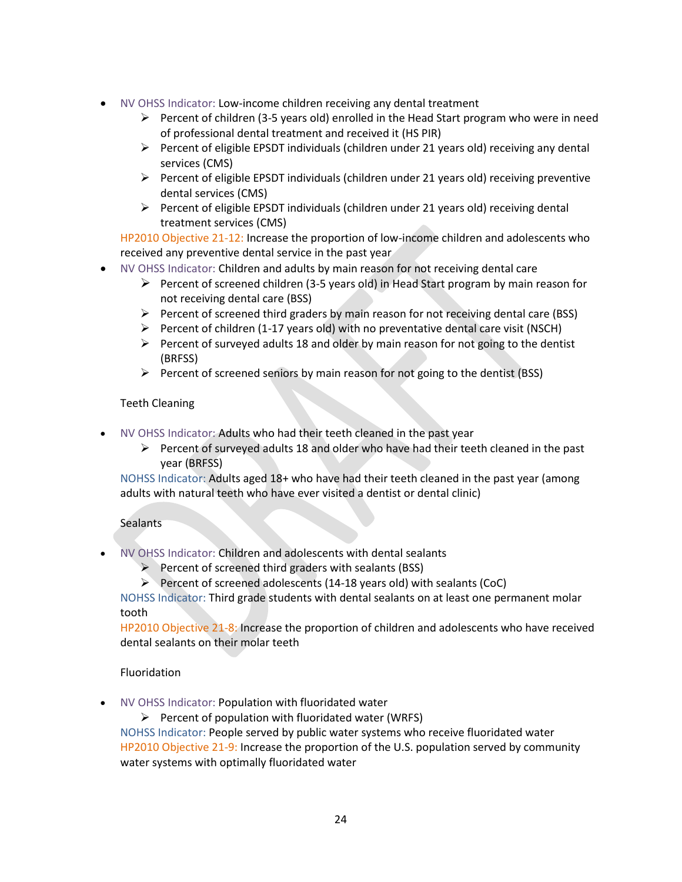- NV OHSS Indicator: Low-income children receiving any dental treatment
	- Percent of children (3-5 years old) enrolled in the Head Start program who were in need of professional dental treatment and received it (HS PIR)
	- $\triangleright$  Percent of eligible EPSDT individuals (children under 21 years old) receiving any dental services (CMS)
	- Percent of eligible EPSDT individuals (children under 21 years old) receiving preventive dental services (CMS)
	- $\triangleright$  Percent of eligible EPSDT individuals (children under 21 years old) receiving dental treatment services (CMS)

HP2010 Objective 21-12: Increase the proportion of low-income children and adolescents who received any preventive dental service in the past year

- NV OHSS Indicator: Children and adults by main reason for not receiving dental care
	- Percent of screened children (3-5 years old) in Head Start program by main reason for not receiving dental care (BSS)
	- $\triangleright$  Percent of screened third graders by main reason for not receiving dental care (BSS)
	- Percent of children (1-17 years old) with no preventative dental care visit (NSCH)
	- Percent of surveyed adults 18 and older by main reason for not going to the dentist (BRFSS)
	- $\triangleright$  Percent of screened seniors by main reason for not going to the dentist (BSS)

#### Teeth Cleaning

- NV OHSS Indicator: Adults who had their teeth cleaned in the past year
	- $\triangleright$  Percent of surveyed adults 18 and older who have had their teeth cleaned in the past year (BRFSS)

NOHSS Indicator: Adults aged 18+ who have had their teeth cleaned in the past year (among adults with natural teeth who have ever visited a dentist or dental clinic)

#### **Sealants**

- NV OHSS Indicator: Children and adolescents with dental sealants
	- $\triangleright$  Percent of screened third graders with sealants (BSS)
	- $\triangleright$  Percent of screened adolescents (14-18 years old) with sealants (CoC)

NOHSS Indicator: Third grade students with dental sealants on at least one permanent molar tooth

HP2010 Objective 21-8: Increase the proportion of children and adolescents who have received dental sealants on their molar teeth

Fluoridation

- NV OHSS Indicator: Population with fluoridated water
	- $\triangleright$  Percent of population with fluoridated water (WRFS)

NOHSS Indicator: People served by public water systems who receive fluoridated water HP2010 Objective 21-9: Increase the proportion of the U.S. population served by community water systems with optimally fluoridated water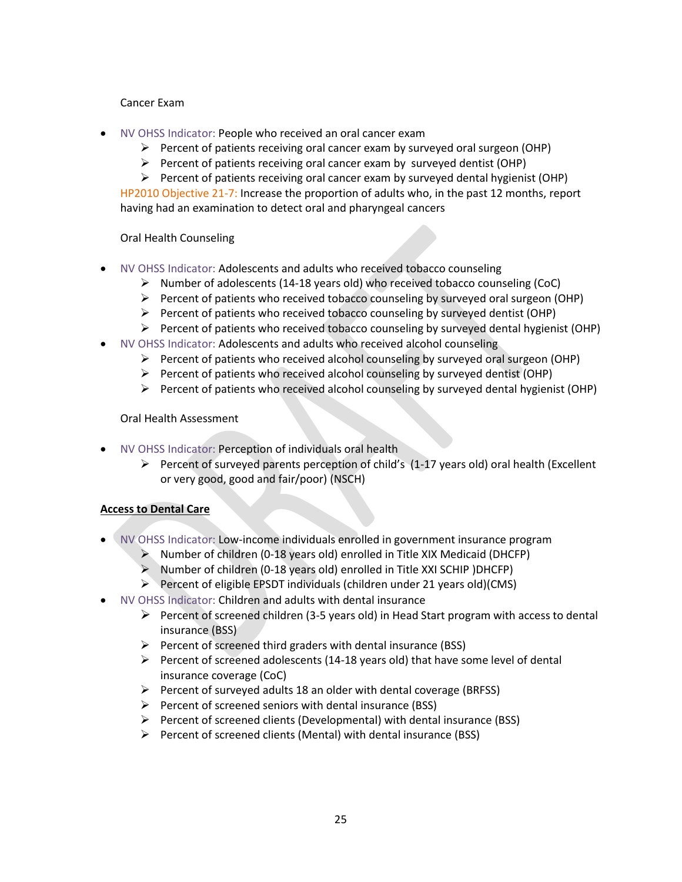#### Cancer Exam

- NV OHSS Indicator: People who received an oral cancer exam
	- $\triangleright$  Percent of patients receiving oral cancer exam by surveyed oral surgeon (OHP)
	- $\triangleright$  Percent of patients receiving oral cancer exam by surveyed dentist (OHP)
	- Percent of patients receiving oral cancer exam by surveyed dental hygienist (OHP)

HP2010 Objective 21-7: Increase the proportion of adults who, in the past 12 months, report having had an examination to detect oral and pharyngeal cancers

Oral Health Counseling

- NV OHSS Indicator: Adolescents and adults who received tobacco counseling
	- $\triangleright$  Number of adolescents (14-18 years old) who received tobacco counseling (CoC)
	- $\triangleright$  Percent of patients who received tobacco counseling by surveyed oral surgeon (OHP)
	- $\triangleright$  Percent of patients who received tobacco counseling by surveyed dentist (OHP)
	- $\triangleright$  Percent of patients who received tobacco counseling by surveyed dental hygienist (OHP)
- NV OHSS Indicator: Adolescents and adults who received alcohol counseling
	- $\triangleright$  Percent of patients who received alcohol counseling by surveyed oral surgeon (OHP)
	- $\triangleright$  Percent of patients who received alcohol counseling by surveyed dentist (OHP)
	- $\triangleright$  Percent of patients who received alcohol counseling by surveyed dental hygienist (OHP)

#### Oral Health Assessment

- NV OHSS Indicator: Perception of individuals oral health
	- Percent of surveyed parents perception of child's  $(1-17 \text{ years})$  old) oral health (Excellent or very good, good and fair/poor) (NSCH)

#### **Access to Dental Care**

- NV OHSS Indicator: Low-income individuals enrolled in government insurance program
	- $\triangleright$  Number of children (0-18 years old) enrolled in Title XIX Medicaid (DHCFP)
	- $\triangleright$  Number of children (0-18 years old) enrolled in Title XXI SCHIP )DHCFP)
	- $\triangleright$  Percent of eligible EPSDT individuals (children under 21 years old)(CMS)
- NV OHSS Indicator: Children and adults with dental insurance
	- $\triangleright$  Percent of screened children (3-5 years old) in Head Start program with access to dental insurance (BSS)
	- $\triangleright$  Percent of screened third graders with dental insurance (BSS)
	- Percent of screened adolescents (14-18 years old) that have some level of dental insurance coverage (CoC)
	- $\triangleright$  Percent of surveyed adults 18 an older with dental coverage (BRFSS)
	- $\triangleright$  Percent of screened seniors with dental insurance (BSS)
	- $\triangleright$  Percent of screened clients (Developmental) with dental insurance (BSS)
	- $\triangleright$  Percent of screened clients (Mental) with dental insurance (BSS)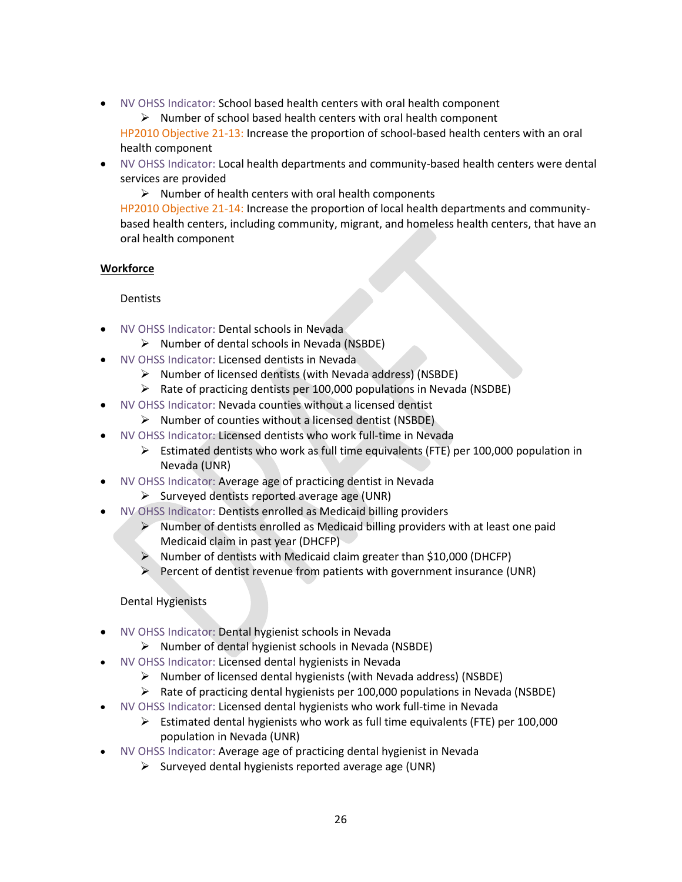NV OHSS Indicator: School based health centers with oral health component

 $\triangleright$  Number of school based health centers with oral health component HP2010 Objective 21-13: Increase the proportion of school-based health centers with an oral health component

- NV OHSS Indicator: Local health departments and community-based health centers were dental services are provided
	- $\triangleright$  Number of health centers with oral health components

HP2010 Objective 21-14: Increase the proportion of local health departments and communitybased health centers, including community, migrant, and homeless health centers, that have an oral health component

#### **Workforce**

**Dentists** 

- NV OHSS Indicator: Dental schools in Nevada
	- $\triangleright$  Number of dental schools in Nevada (NSBDE)
- NV OHSS Indicator: Licensed dentists in Nevada
	- $\triangleright$  Number of licensed dentists (with Nevada address) (NSBDE)
	- $\triangleright$  Rate of practicing dentists per 100,000 populations in Nevada (NSDBE)
- NV OHSS Indicator: Nevada counties without a licensed dentist
	- $\triangleright$  Number of counties without a licensed dentist (NSBDE)
	- NV OHSS Indicator: Licensed dentists who work full-time in Nevada
		- $\triangleright$  Estimated dentists who work as full time equivalents (FTE) per 100,000 population in Nevada (UNR)
- NV OHSS Indicator: Average age of practicing dentist in Nevada
	- $\triangleright$  Surveyed dentists reported average age (UNR)
	- NV OHSS Indicator: Dentists enrolled as Medicaid billing providers
		- $\triangleright$  Number of dentists enrolled as Medicaid billing providers with at least one paid Medicaid claim in past year (DHCFP)
		- $\triangleright$  Number of dentists with Medicaid claim greater than \$10,000 (DHCFP)
		- $\triangleright$  Percent of dentist revenue from patients with government insurance (UNR)

#### Dental Hygienists

- NV OHSS Indicator: Dental hygienist schools in Nevada
	- $\triangleright$  Number of dental hygienist schools in Nevada (NSBDE)
- NV OHSS Indicator: Licensed dental hygienists in Nevada
	- $\triangleright$  Number of licensed dental hygienists (with Nevada address) (NSBDE)
	- $\triangleright$  Rate of practicing dental hygienists per 100,000 populations in Nevada (NSBDE)
- NV OHSS Indicator: Licensed dental hygienists who work full-time in Nevada
	- $\triangleright$  Estimated dental hygienists who work as full time equivalents (FTE) per 100,000 population in Nevada (UNR)
- NV OHSS Indicator: Average age of practicing dental hygienist in Nevada
	- Surveyed dental hygienists reported average age (UNR)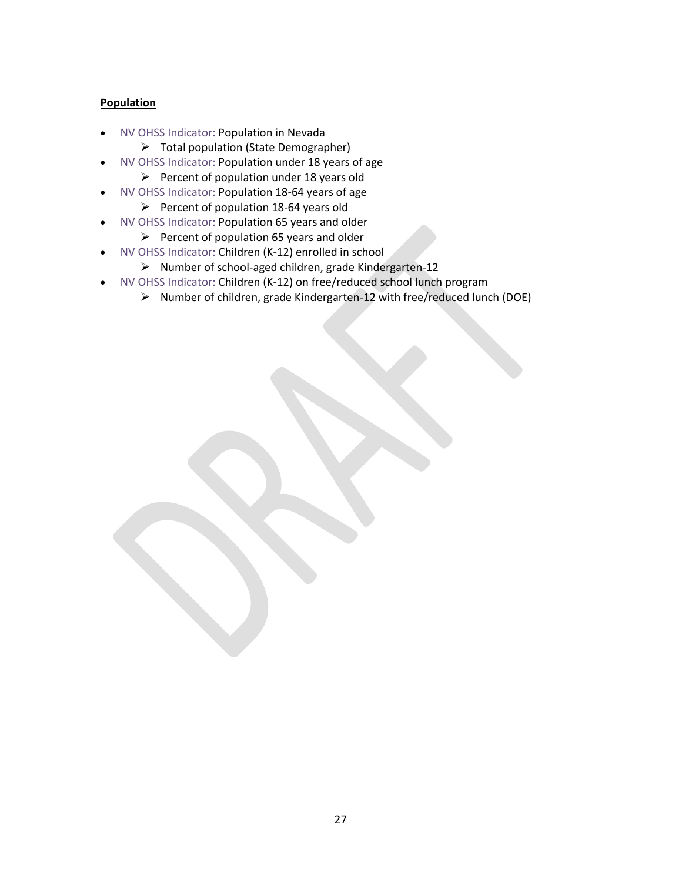#### **Population**

- NV OHSS Indicator: Population in Nevada
	- $\triangleright$  Total population (State Demographer)
- NV OHSS Indicator: Population under 18 years of age  $\triangleright$  Percent of population under 18 years old
- NV OHSS Indicator: Population 18-64 years of age
	- Percent of population 18-64 years old
- NV OHSS Indicator: Population 65 years and older
	- $\triangleright$  Percent of population 65 years and older
	- NV OHSS Indicator: Children (K-12) enrolled in school
		- Number of school-aged children, grade Kindergarten-12
- NV OHSS Indicator: Children (K-12) on free/reduced school lunch program
	- Number of children, grade Kindergarten-12 with free/reduced lunch (DOE)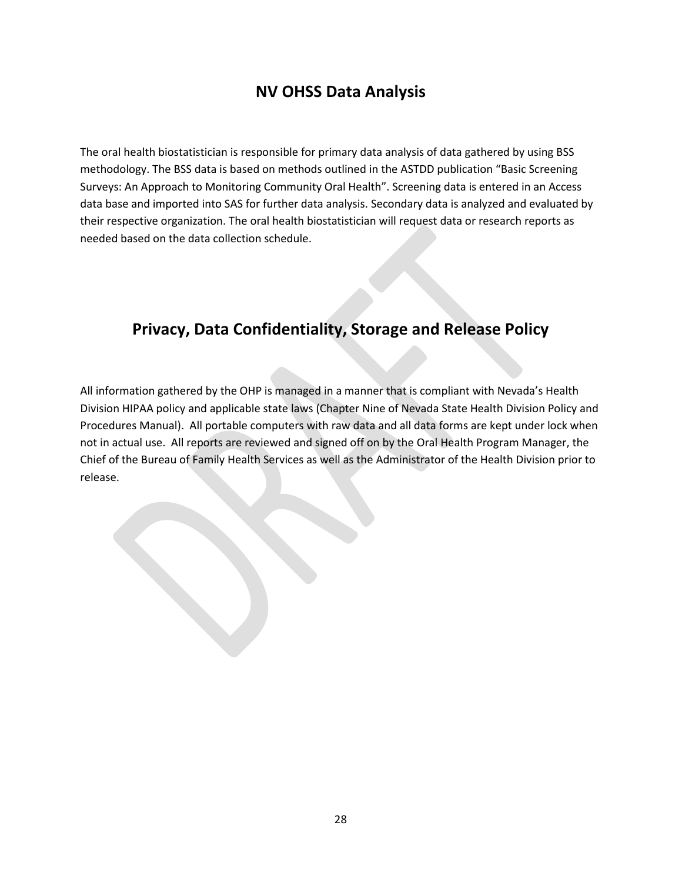### **NV OHSS Data Analysis**

The oral health biostatistician is responsible for primary data analysis of data gathered by using BSS methodology. The BSS data is based on methods outlined in the ASTDD publication "Basic Screening Surveys: An Approach to Monitoring Community Oral Health". Screening data is entered in an Access data base and imported into SAS for further data analysis. Secondary data is analyzed and evaluated by their respective organization. The oral health biostatistician will request data or research reports as needed based on the data collection schedule.

### **Privacy, Data Confidentiality, Storage and Release Policy**

All information gathered by the OHP is managed in a manner that is compliant with Nevada's Health Division HIPAA policy and applicable state laws (Chapter Nine of Nevada State Health Division Policy and Procedures Manual). All portable computers with raw data and all data forms are kept under lock when not in actual use. All reports are reviewed and signed off on by the Oral Health Program Manager, the Chief of the Bureau of Family Health Services as well as the Administrator of the Health Division prior to release.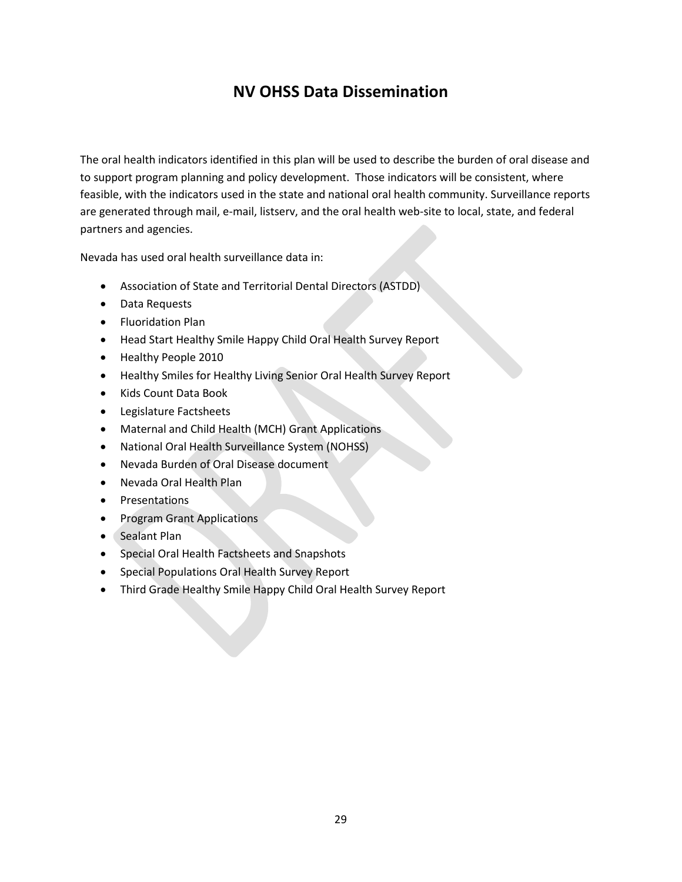## **NV OHSS Data Dissemination**

The oral health indicators identified in this plan will be used to describe the burden of oral disease and to support program planning and policy development. Those indicators will be consistent, where feasible, with the indicators used in the state and national oral health community. Surveillance reports are generated through mail, e-mail, listserv, and the oral health web-site to local, state, and federal partners and agencies.

Nevada has used oral health surveillance data in:

- Association of State and Territorial Dental Directors (ASTDD)
- Data Requests
- **•** Fluoridation Plan
- Head Start Healthy Smile Happy Child Oral Health Survey Report
- Healthy People 2010
- Healthy Smiles for Healthy Living Senior Oral Health Survey Report
- Kids Count Data Book
- Legislature Factsheets
- Maternal and Child Health (MCH) Grant Applications
- National Oral Health Surveillance System (NOHSS)
- Nevada Burden of Oral Disease document
- Nevada Oral Health Plan
- Presentations
- Program Grant Applications
- Sealant Plan
- Special Oral Health Factsheets and Snapshots
- Special Populations Oral Health Survey Report
- Third Grade Healthy Smile Happy Child Oral Health Survey Report